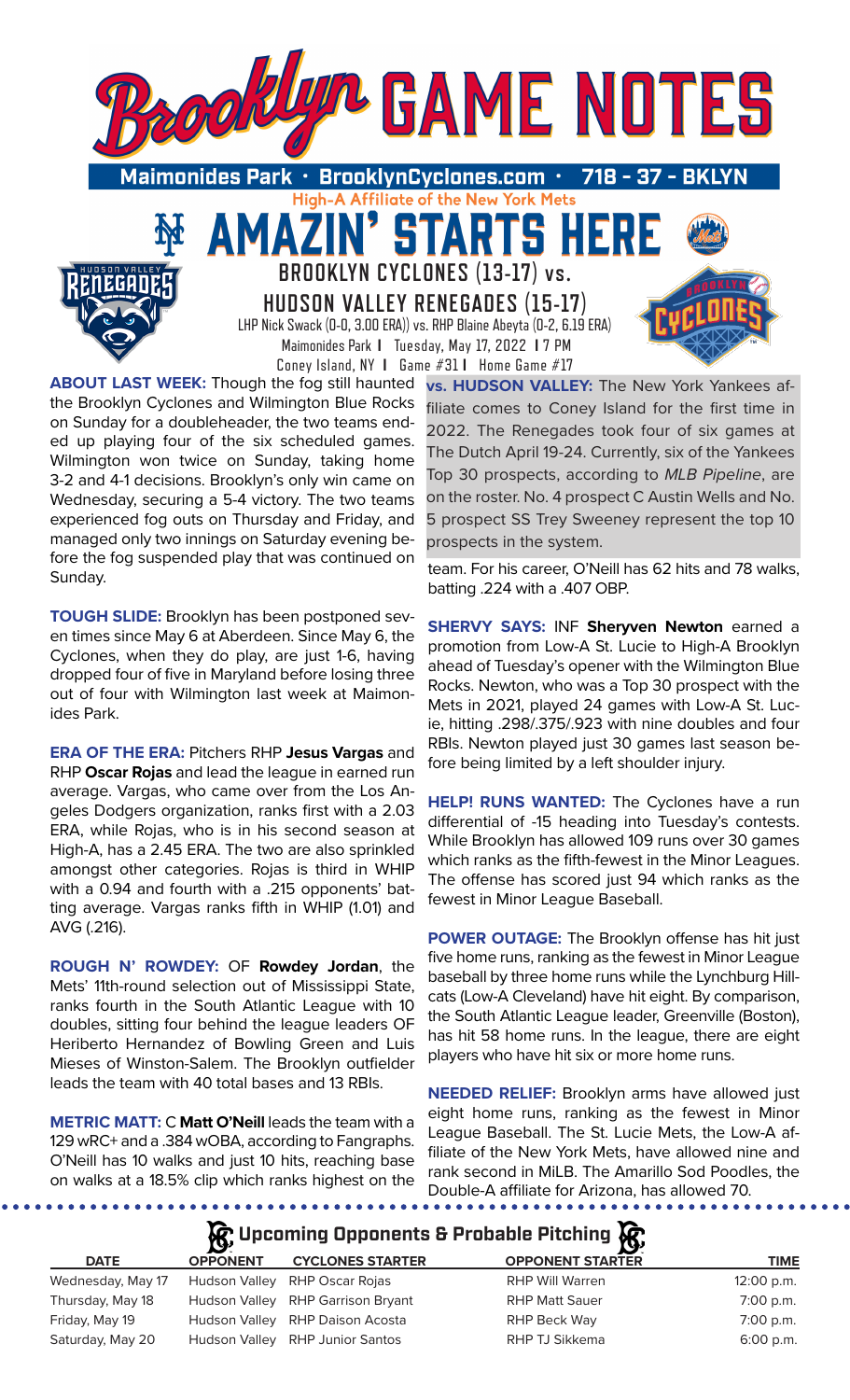

**ABOUT LAST WEEK:** Though the fog still haunted the Brooklyn Cyclones and Wilmington Blue Rocks on Sunday for a doubleheader, the two teams ended up playing four of the six scheduled games. Wilmington won twice on Sunday, taking home 3-2 and 4-1 decisions. Brooklyn's only win came on Wednesday, securing a 5-4 victory. The two teams experienced fog outs on Thursday and Friday, and managed only two innings on Saturday evening before the fog suspended play that was continued on Sunday.

**TOUGH SLIDE:** Brooklyn has been postponed seven times since May 6 at Aberdeen. Since May 6, the Cyclones, when they do play, are just 1-6, having dropped four of five in Maryland before losing three out of four with Wilmington last week at Maimonides Park.

**ERA OF THE ERA:** Pitchers RHP **Jesus Vargas** and RHP **Oscar Rojas** and lead the league in earned run average. Vargas, who came over from the Los Angeles Dodgers organization, ranks first with a 2.03 ERA, while Rojas, who is in his second season at High-A, has a 2.45 ERA. The two are also sprinkled amongst other categories. Rojas is third in WHIP with a 0.94 and fourth with a .215 opponents' batting average. Vargas ranks fifth in WHIP (1.01) and AVG (.216).

**ROUGH N' ROWDEY:** OF **Rowdey Jordan**, the Mets' 11th-round selection out of Mississippi State, ranks fourth in the South Atlantic League with 10 doubles, sitting four behind the league leaders OF Heriberto Hernandez of Bowling Green and Luis Mieses of Winston-Salem. The Brooklyn outfielder leads the team with 40 total bases and 13 RBIs.

**METRIC MATT:** C **Matt O'Neill** leads the team with a 129 wRC+ and a .384 wOBA, according to Fangraphs. O'Neill has 10 walks and just 10 hits, reaching base on walks at a 18.5% clip which ranks highest on the

**vs. HUDSON VALLEY:** The New York Yankees affiliate comes to Coney Island for the first time in 2022. The Renegades took four of six games at The Dutch April 19-24. Currently, six of the Yankees Top 30 prospects, according to *MLB Pipeline*, are on the roster. No. 4 prospect C Austin Wells and No. 5 prospect SS Trey Sweeney represent the top 10 prospects in the system.

team. For his career, O'Neill has 62 hits and 78 walks, batting .224 with a .407 OBP.

**SHERVY SAYS:** INF **Sheryven Newton** earned a promotion from Low-A St. Lucie to High-A Brooklyn ahead of Tuesday's opener with the Wilmington Blue Rocks. Newton, who was a Top 30 prospect with the Mets in 2021, played 24 games with Low-A St. Lucie, hitting .298/.375/.923 with nine doubles and four RBIs. Newton played just 30 games last season before being limited by a left shoulder injury.

**HELP! RUNS WANTED:** The Cyclones have a run differential of -15 heading into Tuesday's contests. While Brooklyn has allowed 109 runs over 30 games which ranks as the fifth-fewest in the Minor Leagues. The offense has scored just 94 which ranks as the fewest in Minor League Baseball.

**POWER OUTAGE:** The Brooklyn offense has hit just five home runs, ranking as the fewest in Minor League baseball by three home runs while the Lynchburg Hillcats (Low-A Cleveland) have hit eight. By comparison, the South Atlantic League leader, Greenville (Boston), has hit 58 home runs. In the league, there are eight players who have hit six or more home runs.

**NEEDED RELIEF:** Brooklyn arms have allowed just eight home runs, ranking as the fewest in Minor League Baseball. The St. Lucie Mets, the Low-A affiliate of the New York Mets, have allowed nine and rank second in MiLB. The Amarillo Sod Poodles, the Double-A affiliate for Arizona, has allowed 70.

# **Upcoming Opponents & Probable Pitching**

| <b>DATE</b>       | <b>OPPONENT</b> | <b>CYCLONES STARTER</b>           | <b>OPPONENT STARTER</b> | <b>TIME</b>  |
|-------------------|-----------------|-----------------------------------|-------------------------|--------------|
| Wednesday, May 17 |                 | Hudson Valley RHP Oscar Rojas     | RHP Will Warren         | $12:00$ p.m. |
| Thursday, May 18  |                 | Hudson Valley RHP Garrison Bryant | <b>RHP Matt Sauer</b>   | $7:00$ p.m.  |
| Friday, May 19    |                 | Hudson Valley RHP Daison Acosta   | RHP Beck Way            | 7:00 p.m.    |
| Saturday, May 20  |                 | Hudson Valley RHP Junior Santos   | RHP TJ Sikkema          | $6:00$ p.m.  |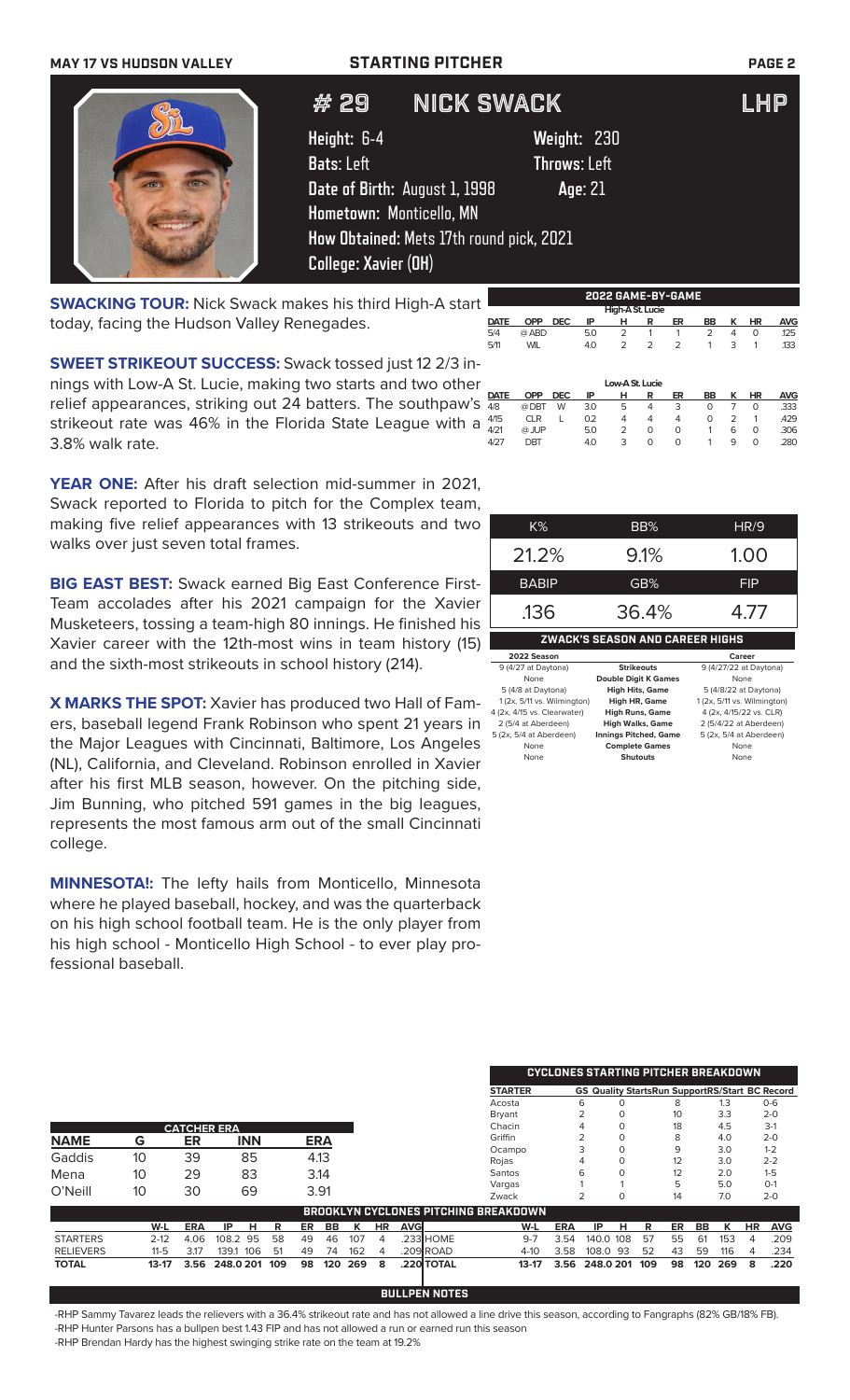# **MAY 17 VS HUDSON VALLEY STARTING PITCHER PAGE 2**

# 29 NICK SWACK LHP

**Height:** 6-4 **Weight:** 230 **Bats**: Left **Throws**: Left **Date of Birth:** August 1, 1998 **Age**: 21 **Hometown:** Monticello, MN **How Obtained:** Mets 17th round pick, 2021 **College: Xavier (OH)**

**SWACKING TOUR:** Nick Swack makes his third High-A start today, facing the Hudson Valley Renegades.

**SWEET STRIKEOUT SUCCESS:** Swack tossed just 12 2/3 innings with Low-A St. Lucie, making two starts and two other relief appearances, striking out 24 batters. The southpaw's  $\frac{\text{part}}{48}$ strikeout rate was 46% in the Florida State League with a  $475$ 3.8% walk rate.

**YEAR ONE:** After his draft selection mid-summer in 2021, Swack reported to Florida to pitch for the Complex team, making five relief appearances with 13 strikeouts and two walks over just seven total frames.

**BIG EAST BEST:** Swack earned Big East Conference First-Team accolades after his 2021 campaign for the Xavier Musketeers, tossing a team-high 80 innings. He finished his Xavier career with the 12th-most wins in team history (15) and the sixth-most strikeouts in school history (214).

**X MARKS THE SPOT:** Xavier has produced two Hall of Famers, baseball legend Frank Robinson who spent 21 years in the Major Leagues with Cincinnati, Baltimore, Los Angeles (NL), California, and Cleveland. Robinson enrolled in Xavier after his first MLB season, however. On the pitching side, Jim Bunning, who pitched 591 games in the big leagues, represents the most famous arm out of the small Cincinnati college.

**MINNESOTA!:** The lefty hails from Monticello, Minnesota where he played baseball, hockey, and was the quarterback on his high school football team. He is the only player from his high school - Monticello High School - to ever play professional baseball.

| $K\%$        | BB%   | HR/9       |
|--------------|-------|------------|
| 21.2%        | 9.1%  | 1.00       |
| <b>BABIP</b> | GB%   | <b>FIP</b> |
| .136         | 36.4% |            |

**ZWACK'S SEASON AND CAREER HIGHS 2022 Season Career**<br>
(4/27 at Daytona) **Strikeouts** 9 (4/27/22 at Dayto 9 (4/27 at Daytona) **Strikeouts** 9 (4/27/22 at None **Double Digit K Games** None None **Double Digit K Games**<br>5 (4/8 at Daytona) **High Hits, Game** 5 (4/8 at Daytona) **High Hits, Game** 5 (4/8/22 at Daytona) 1 (2x, 5/11 vs. Wilmington) **High HR, Game** 1 (2x, 5/11 vs. Wilmington)<br>(2x, 4/15 vs. Clearwater) **High Runs, Game** 4 (2x, 4/15/22 vs. CLR)<br>2 (5/4/22 at Aberdeen) **High Walks, Game** 2 (5/4/22 at Aberdeen) 4 (2x, 4/15 vs. Clearwater)<br>2 (5/4 at Aberdeen) 2 (5/4 at Aberdeen) **High Walks, Game** 2 (5/4/22 at Aberdeen) 5 (2x, 5/4 at Aberdeen) **Innings Pitched, Game** 5 (2x, 5/4 at Aberdeen) nplete Games<br>Shutouts None **Shutouts** None

|                  |          |            |                    |     |     |            |     |     |             |            |                                             | <b>CYCLONES STARTING PITCHER BREAKDOWN</b> |           |          |                                                       |    |     |     |           |            |
|------------------|----------|------------|--------------------|-----|-----|------------|-----|-----|-------------|------------|---------------------------------------------|--------------------------------------------|-----------|----------|-------------------------------------------------------|----|-----|-----|-----------|------------|
|                  |          |            |                    |     |     |            |     |     |             |            | <b>STARTER</b>                              |                                            |           |          | <b>GS Quality StartsRun SupportRS/Start BC Record</b> |    |     |     |           |            |
|                  |          |            |                    |     |     |            |     |     |             |            | Acosta                                      |                                            | 6         |          |                                                       | 8  |     | 1.3 |           | $O - 6$    |
|                  |          |            |                    |     |     |            |     |     |             |            | Bryant                                      |                                            |           | 0        |                                                       | 10 |     | 3.3 |           | $2 - 0$    |
|                  |          |            | <b>CATCHER ERA</b> |     |     |            |     |     |             |            | Chacin                                      |                                            |           |          |                                                       | 18 |     | 4.5 |           | $3-1$      |
| <b>NAME</b>      | G        | ER         | <b>INN</b>         |     |     | <b>ERA</b> |     |     |             |            | Griffin                                     |                                            |           |          |                                                       | 8  |     | 4.0 |           | $2 - 0$    |
|                  |          |            |                    |     |     |            |     |     |             |            | Ocampo                                      |                                            |           |          |                                                       | 9  |     | 3.0 |           | $1 - 2$    |
| Gaddis           | 10       | 39         | 85                 |     |     | 4.13       |     |     |             |            | Rojas                                       |                                            | 4         | Ο        |                                                       | 12 |     | 3.0 |           | $2 - 2$    |
| Mena             | 10       | 29         | 83                 |     |     | 3.14       |     |     |             |            | Santos                                      |                                            | 6         |          |                                                       | 12 |     | 2.0 |           | $1 - 5$    |
| O'Neill          | 10       | 30         | 69                 |     |     | 3.91       |     |     |             |            | Vargas                                      |                                            |           |          |                                                       |    |     | 5.0 |           | $O-1$      |
|                  |          |            |                    |     |     |            |     |     |             |            | Zwack                                       |                                            |           | $\Omega$ |                                                       | 14 |     | 7.0 |           | $2 - 0$    |
|                  |          |            |                    |     |     |            |     |     |             |            | <b>BROOKLYN CYCLONES PITCHING BREAKDOWN</b> |                                            |           |          |                                                       |    |     |     |           |            |
|                  | W-L      | <b>ERA</b> | IP<br>н            | R   | ER. | BB         | ĸ   | HR. | <b>AVGI</b> |            | W-L                                         | <b>ERA</b>                                 | IP        | н        | R                                                     | ER | BB  | ĸ   | <b>HR</b> | <b>AVG</b> |
| <b>STARTERS</b>  | $2 - 12$ | 4.06       | 108.2<br>95        | 58  | 49  | 46         | 107 | 4   |             | .233 HOME  | $9 - 7$                                     | 3.54                                       | 140.0 108 |          | 57                                                    | 55 | 61  | 153 | 4         | .209       |
| <b>RELIEVERS</b> | 11-5     | 3.17       | 139.1<br>106       | 51  | 49  | 74         | 162 | 4   |             | .209 ROAD  | $4-10$                                      | 3.58                                       | 108.0 93  |          | 52                                                    | 43 | 59  | 116 | 4         | .234       |
| <b>TOTAL</b>     | 13-17    | 3.56       | 248.0 201          | 109 | 98  | 120        | 269 | 8   |             | .220 TOTAL | $13-17$                                     | 3.56                                       | 248.0 201 |          | 109                                                   | 98 | 120 | 269 | 8         | .220       |

-RHP Sammy Tavarez leads the relievers with a 36.4% strikeout rate and has not allowed a line drive this season, according to Fangraphs (82% GB/18% FB). -RHP Hunter Parsons has a bullpen best 1.43 FIP and has not allowed a run or earned run this season -RHP Brendan Hardy has the highest swinging strike rate on the team at 19.2%

**BULLPEN NOTES**



### Low-A St. Lucie<br>**OPP** DEC IP H R **DATE OPP DEC IP H R ER BB K HR AVG** 4/8 @ DBT W 3.0 5 4 3 0 7 0 .333 4/15 CLR L 0.2 4 4 4 0 2 1 .429 4/21 @ JUP 5.0 2 0 0 1 6 0 .306 4/27 DBT 4.0 3 0 0 1 9 0 .280 5/4 @ ABD 5.0 2 1 1 2 4 0 .125 5/11 WIL 4.0 2 2 2 1 3 1 .133

**2022 GAME-BY-GAME**

**DATE OPP DEC IP H R ER BB K HR AVG**

**High-A St. Lucie**<br> **DATE** OPP DEC IP H R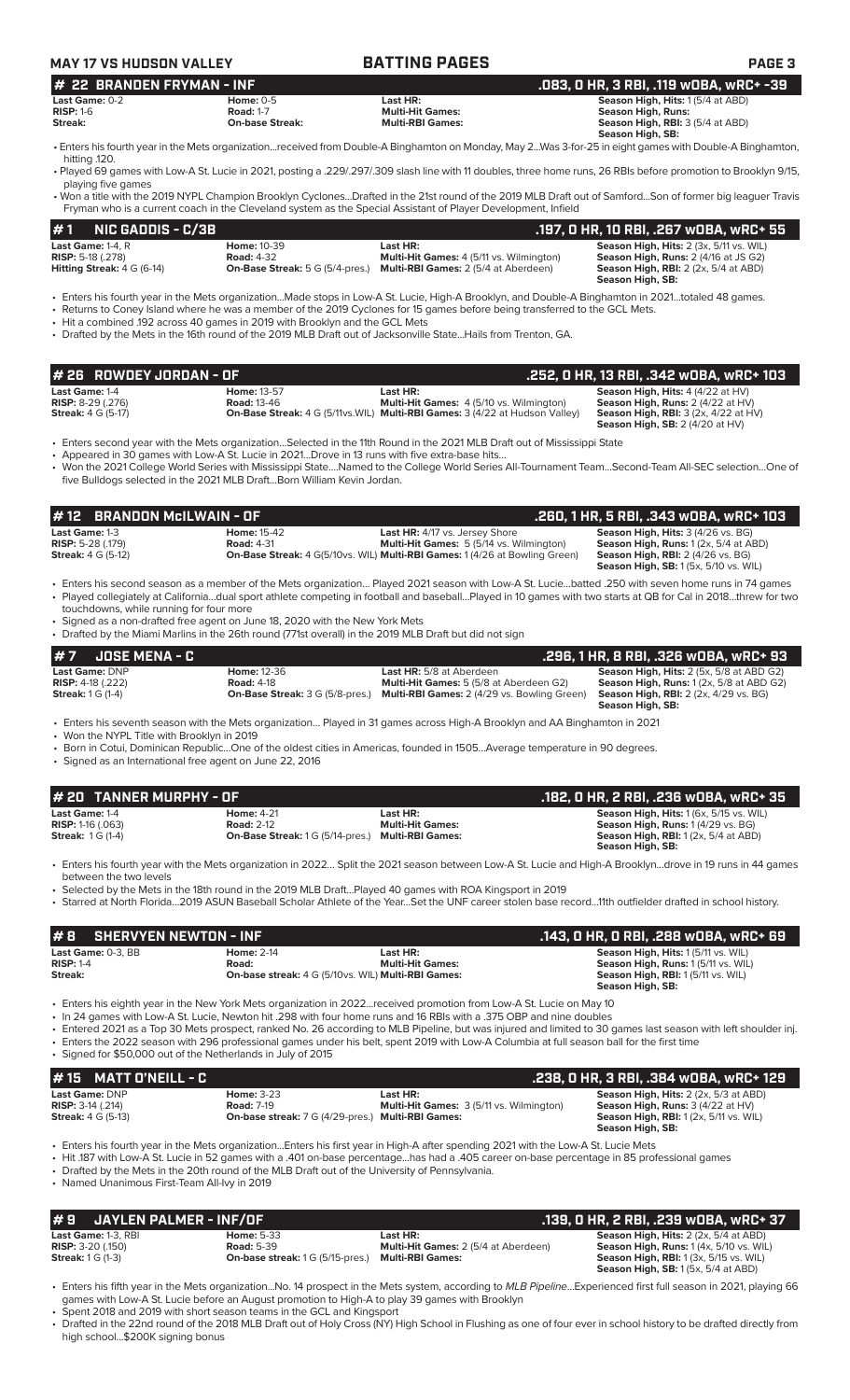|                                                                                                                                    |                                                                              | <b>BATTING PAGES</b>                                                                                                                                                                                                                                                                                                                                                                      |                                                                                                                                                                                                                                                                                                                                                                                                                                                                                                                                                                                                                                                                                                                       |
|------------------------------------------------------------------------------------------------------------------------------------|------------------------------------------------------------------------------|-------------------------------------------------------------------------------------------------------------------------------------------------------------------------------------------------------------------------------------------------------------------------------------------------------------------------------------------------------------------------------------------|-----------------------------------------------------------------------------------------------------------------------------------------------------------------------------------------------------------------------------------------------------------------------------------------------------------------------------------------------------------------------------------------------------------------------------------------------------------------------------------------------------------------------------------------------------------------------------------------------------------------------------------------------------------------------------------------------------------------------|
| <b>22 BRANDEN FRYMAN - INF</b><br>#<br>Last Game: 0-2                                                                              | <b>Home: 0-5</b>                                                             | Last HR:                                                                                                                                                                                                                                                                                                                                                                                  | .083, 0 HR, 3 RBI, .119 w0BA, wRC+ -39<br>Season High, Hits: 1(5/4 at ABD)                                                                                                                                                                                                                                                                                                                                                                                                                                                                                                                                                                                                                                            |
| $RISP: 1-6$<br>Streak:                                                                                                             | <b>Road: 1-7</b><br><b>On-base Streak:</b>                                   | <b>Multi-Hit Games:</b><br><b>Multi-RBI Games:</b>                                                                                                                                                                                                                                                                                                                                        | <b>Season High, Runs:</b><br>Season High, RBI: 3 (5/4 at ABD)                                                                                                                                                                                                                                                                                                                                                                                                                                                                                                                                                                                                                                                         |
| hitting .120.                                                                                                                      |                                                                              |                                                                                                                                                                                                                                                                                                                                                                                           | Season High, SB:<br>• Enters his fourth year in the Mets organizationreceived from Double-A Binghamton on Monday, May 2Was 3-for-25 in eight games with Double-A Binghamton,                                                                                                                                                                                                                                                                                                                                                                                                                                                                                                                                          |
| playing five games                                                                                                                 |                                                                              |                                                                                                                                                                                                                                                                                                                                                                                           | • Played 69 games with Low-A St. Lucie in 2021, posting a .229/.297/.309 slash line with 11 doubles, three home runs, 26 RBIs before promotion to Brooklyn 9/15,                                                                                                                                                                                                                                                                                                                                                                                                                                                                                                                                                      |
|                                                                                                                                    |                                                                              | Fryman who is a current coach in the Cleveland system as the Special Assistant of Player Development, Infield                                                                                                                                                                                                                                                                             | • Won a title with the 2019 NYPL Champion Brooklyn CyclonesDrafted in the 21st round of the 2019 MLB Draft out of SamfordSon of former big leaguer Travis                                                                                                                                                                                                                                                                                                                                                                                                                                                                                                                                                             |
| #1<br><b>NIC GADDIS - C/3B</b>                                                                                                     |                                                                              |                                                                                                                                                                                                                                                                                                                                                                                           | .197, 0 HR, 10 RBI, .267 w0BA, wRC+ 55                                                                                                                                                                                                                                                                                                                                                                                                                                                                                                                                                                                                                                                                                |
| Last Game: 1-4. R<br><b>RISP: 5-18 (.278)</b><br><b>Hitting Streak:</b> $4 G (6-14)$                                               | <b>Home: 10-39</b><br><b>Road: 4-32</b>                                      | Last HR:<br>Multi-Hit Games: 4 (5/11 vs. Wilmington)<br><b>On-Base Streak:</b> 5 G (5/4-pres.) Multi-RBI Games: 2 (5/4 at Aberdeen)                                                                                                                                                                                                                                                       | Season High, Hits: 2 (3x, 5/11 vs. WIL)<br>Season High, Runs: 2 (4/16 at JS G2)<br><b>Season High, RBI:</b> 2 (2x, 5/4 at ABD)<br>Season High, SB:                                                                                                                                                                                                                                                                                                                                                                                                                                                                                                                                                                    |
|                                                                                                                                    | • Hit a combined .192 across 40 games in 2019 with Brooklyn and the GCL Mets | • Returns to Coney Island where he was a member of the 2019 Cyclones for 15 games before being transferred to the GCL Mets.<br>• Drafted by the Mets in the 16th round of the 2019 MLB Draft out of Jacksonville StateHails from Trenton, GA.                                                                                                                                             | · Enters his fourth year in the Mets organizationMade stops in Low-A St. Lucie, High-A Brooklyn, and Double-A Binghamton in 2021totaled 48 games.                                                                                                                                                                                                                                                                                                                                                                                                                                                                                                                                                                     |
| #26 ROWDEY JORDAN - OF                                                                                                             |                                                                              |                                                                                                                                                                                                                                                                                                                                                                                           | .252, 0 HR, 13 RBI, .342 wOBA, wRC+ 103                                                                                                                                                                                                                                                                                                                                                                                                                                                                                                                                                                                                                                                                               |
| Last Game: 1-4<br>RISP: 8-29 (.276)<br><b>Streak: 4 G (5-17)</b>                                                                   | <b>Home: 13-57</b><br><b>Road: 13-46</b>                                     | Last HR:<br>Multi-Hit Games: 4 (5/10 vs. Wilmington)<br>On-Base Streak: 4 G (5/11vs. WIL) Multi-RBI Games: 3 (4/22 at Hudson Valley)                                                                                                                                                                                                                                                      | Season High, Hits: 4 (4/22 at HV)<br>Season High, Runs: 2 (4/22 at HV)<br><b>Season High, RBI: 3 (2x, 4/22 at HV)</b><br>Season High, SB: 2 (4/20 at HV)                                                                                                                                                                                                                                                                                                                                                                                                                                                                                                                                                              |
|                                                                                                                                    |                                                                              | • Enters second year with the Mets organizationSelected in the 11th Round in the 2021 MLB Draft out of Mississippi State<br>• Appeared in 30 games with Low-A St. Lucie in 2021Drove in 13 runs with five extra-base hits                                                                                                                                                                 | • Won the 2021 College World Series with Mississippi StateNamed to the College World Series All-Tournament TeamSecond-Team All-SEC selectionOne of                                                                                                                                                                                                                                                                                                                                                                                                                                                                                                                                                                    |
|                                                                                                                                    | five Bulldogs selected in the 2021 MLB DraftBorn William Kevin Jordan.       |                                                                                                                                                                                                                                                                                                                                                                                           |                                                                                                                                                                                                                                                                                                                                                                                                                                                                                                                                                                                                                                                                                                                       |
| #12                                                                                                                                | <b>BRANDON McILWAIN - OF</b>                                                 |                                                                                                                                                                                                                                                                                                                                                                                           | .260, 1 HR, 5 RBI, .343 wOBA, wRC+ 103                                                                                                                                                                                                                                                                                                                                                                                                                                                                                                                                                                                                                                                                                |
| Last Game: 1-3<br><b>RISP:</b> 5-28 (.179)<br><b>Streak:</b> 4 G (5-12)                                                            | <b>Home: 15-42</b><br><b>Road: 4-31</b>                                      | Last HR: 4/17 vs. Jersey Shore<br>Multi-Hit Games: 5 (5/14 vs. Wilmington)<br><b>On-Base Streak: 4 G(5/10vs. WIL) Multi-RBI Games: 1 (4/26 at Bowling Green)</b>                                                                                                                                                                                                                          | Season High, Hits: 3 (4/26 vs. BG)<br>Season High, Runs: 1 (2x, 5/4 at ABD)<br><b>Season High, RBI: 2 (4/26 vs. BG)</b><br><b>Season High, SB: 1 (5x, 5/10 vs. WIL)</b>                                                                                                                                                                                                                                                                                                                                                                                                                                                                                                                                               |
| touchdowns, while running for four more                                                                                            | • Signed as a non-drafted free agent on June 18, 2020 with the New York Mets | • Drafted by the Miami Marlins in the 26th round (771st overall) in the 2019 MLB Draft but did not sign                                                                                                                                                                                                                                                                                   | • Enters his second season as a member of the Mets organization Played 2021 season with Low-A St. Luciebatted .250 with seven home runs in 74 games<br>• Played collegiately at Californiadual sport athlete competing in football and baseballPlayed in 10 games with two starts at QB for Cal in 2018threw for two                                                                                                                                                                                                                                                                                                                                                                                                  |
| <b>JOSE MENA - C</b><br>#7                                                                                                         |                                                                              |                                                                                                                                                                                                                                                                                                                                                                                           | .296, 1 HR, 8 RBI, .326 wOBA, wRC+ 93                                                                                                                                                                                                                                                                                                                                                                                                                                                                                                                                                                                                                                                                                 |
| Last Game: DNP<br><b>RISP:</b> $4-18$ (.222)<br><b>Streak:</b> 1 G (1-4)                                                           | Home: 12-36<br><b>Road: 4-18</b><br><b>On-Base Streak:</b> 3 G (5/8-pres.)   | Last HR: 5/8 at Aberdeen<br>Multi-Hit Games: 5 (5/8 at Aberdeen G2)<br><b>Multi-RBI Games:</b> 2 (4/29 vs. Bowling Green)                                                                                                                                                                                                                                                                 | Season High, Hits: 2 (5x, 5/8 at ABD G2)<br><b>Season High, Runs: 1 (2x, 5/8 at ABD G2)</b><br><b>Season High, RBI:</b> 2 (2x, 4/29 vs. BG)                                                                                                                                                                                                                                                                                                                                                                                                                                                                                                                                                                           |
|                                                                                                                                    |                                                                              |                                                                                                                                                                                                                                                                                                                                                                                           | Season High, SB:                                                                                                                                                                                                                                                                                                                                                                                                                                                                                                                                                                                                                                                                                                      |
| • Won the NYPL Title with Brooklyn in 2019                                                                                         | • Signed as an International free agent on June 22, 2016                     | • Enters his seventh season with the Mets organization… Played in 31 games across High-A Brooklyn and AA Binghamton in 2021<br>• Born in Cotui, Dominican RepublicOne of the oldest cities in Americas, founded in 1505Average temperature in 90 degrees.                                                                                                                                 |                                                                                                                                                                                                                                                                                                                                                                                                                                                                                                                                                                                                                                                                                                                       |
| <b>TANNER MURPHY - OF</b>                                                                                                          |                                                                              |                                                                                                                                                                                                                                                                                                                                                                                           |                                                                                                                                                                                                                                                                                                                                                                                                                                                                                                                                                                                                                                                                                                                       |
| # 20<br>Last Game: 1-4<br><b>RISP: 1-16 (.063)</b><br><b>Streak: 1G (1-4)</b>                                                      | <b>Home: 4-21</b><br><b>Road: 2-12</b>                                       | Last HR:<br><b>Multi-Hit Games:</b><br>On-Base Streak: 1 G (5/14-pres.) Multi-RBI Games:                                                                                                                                                                                                                                                                                                  | .182, 0 HR, 2 RBI, .236 w0BA, wRC+ 35<br><b>Season High, Hits: 1 (6x, 5/15 vs. WIL)</b><br>Season High, Runs: 1 (4/29 vs. BG)<br><b>Season High, RBI:</b> 1 (2x, 5/4 at ABD)<br>Season High, SB:                                                                                                                                                                                                                                                                                                                                                                                                                                                                                                                      |
| between the two levels                                                                                                             |                                                                              | • Selected by the Mets in the 18th round in the 2019 MLB DraftPlayed 40 games with ROA Kingsport in 2019                                                                                                                                                                                                                                                                                  |                                                                                                                                                                                                                                                                                                                                                                                                                                                                                                                                                                                                                                                                                                                       |
|                                                                                                                                    |                                                                              |                                                                                                                                                                                                                                                                                                                                                                                           |                                                                                                                                                                                                                                                                                                                                                                                                                                                                                                                                                                                                                                                                                                                       |
|                                                                                                                                    | <b>SHERVYEN NEWTON - INF</b>                                                 |                                                                                                                                                                                                                                                                                                                                                                                           |                                                                                                                                                                                                                                                                                                                                                                                                                                                                                                                                                                                                                                                                                                                       |
|                                                                                                                                    | <b>Home: 2-14</b><br>Road:                                                   | Last HR:<br><b>Multi-Hit Games:</b><br>On-base streak: 4 G (5/10vs. WIL) Multi-RBI Games:                                                                                                                                                                                                                                                                                                 | Season High, Hits: 1 (5/11 vs. WIL)<br>Season High, Runs: 1 (5/11 vs. WIL)<br>Season High, RBI: 1 (5/11 vs. WIL)<br>Season High, SB:                                                                                                                                                                                                                                                                                                                                                                                                                                                                                                                                                                                  |
|                                                                                                                                    | • Signed for \$50,000 out of the Netherlands in July of 2015                 | • Enters his eighth year in the New York Mets organization in 2022received promotion from Low-A St. Lucie on May 10<br>. In 24 games with Low-A St. Lucie, Newton hit .298 with four home runs and 16 RBIs with a .375 OBP and nine doubles<br>• Enters the 2022 season with 296 professional games under his belt, spent 2019 with Low-A Columbia at full season ball for the first time |                                                                                                                                                                                                                                                                                                                                                                                                                                                                                                                                                                                                                                                                                                                       |
| <b>MATT O'NEILL - C</b><br>15                                                                                                      |                                                                              |                                                                                                                                                                                                                                                                                                                                                                                           |                                                                                                                                                                                                                                                                                                                                                                                                                                                                                                                                                                                                                                                                                                                       |
| #8<br>Last Game: 0-3, BB<br><b>RISP: 1-4</b><br>Streak:<br>Last Game: DNP<br><b>RISP: 3-14 (.214)</b><br><b>Streak:</b> 4 G (5-13) | <b>Home: 3-23</b><br><b>Road: 7-19</b>                                       | Last HR:<br>Multi-Hit Games: 3 (5/11 vs. Wilmington)<br>On-base streak: 7 G (4/29-pres.) Multi-RBI Games:                                                                                                                                                                                                                                                                                 | • Enters his fourth year with the Mets organization in 2022 Split the 2021 season between Low-A St. Lucie and High-A Brooklyndrove in 19 runs in 44 games<br>· Starred at North Florida2019 ASUN Baseball Scholar Athlete of the YearSet the UNF career stolen base record11th outfielder drafted in school history.<br>.143, 0 HR, 0 RBI, .288 w0BA, wRC+ 69<br>• Entered 2021 as a Top 30 Mets prospect, ranked No. 26 according to MLB Pipeline, but was injured and limited to 30 games last season with left shoulder inj.<br>.238, 0 HR, 3 RBI, .384 w0BA, wRC+ 129<br>Season High, Hits: 2 (2x, 5/3 at ABD)<br>Season High, Runs: 3 (4/22 at HV)<br>Season High, RBI: 1 (2x, 5/11 vs. WIL)<br>Season High, SB: |

**Last Game:** 1-3, RBI **Home:** 5-33 **Last HR: Season High, Hits:** 2 (2x, 5/4 at ABD) **RISP:** 3-20 (.150) **Road:** 5-39 **Multi-Hit Games:** 2 (5/4 at Aberdeen) **Season High, Runs:** 1 (4x, 5/10 vs. WIL) **Streak:** 1 G (1-3) **On-base streak:** 1 G (5/15-pres.) **Multi-RBI Games: Season High, RBI:** 1 (3x, 5/15 vs. WIL) Example: 1-3, RBI<br> **Season High, Hits: 2 (2x, 5/4 at ABD)**<br>
RISP: 3-20 (.150)<br>
RISP: 3-20 (.150)<br>
RISP: 3-20 (.150)<br>
Multi-Hit Games: 2 (5/4 at Aberdeen)<br>
Multi-Hit Games: 2 (5/4 at Aberdeen)<br>
Season High, RBI: 1 (3x, 5/15

• Enters his fifth year in the Mets organization...No. 14 prospect in the Mets system, according to *MLB Pipeline*...Experienced first full season in 2021, playing 66 games with Low-A St. Lucie before an August promotion to High-A to play 39 games with Brooklyn

• Spent 2018 and 2019 with short season teams in the GCL and Kingsport

• Drafted in the 22nd round of the 2018 MLB Draft out of Holy Cross (NY) High School in Flushing as one of four ever in school history to be drafted directly from high school...\$200K signing bonus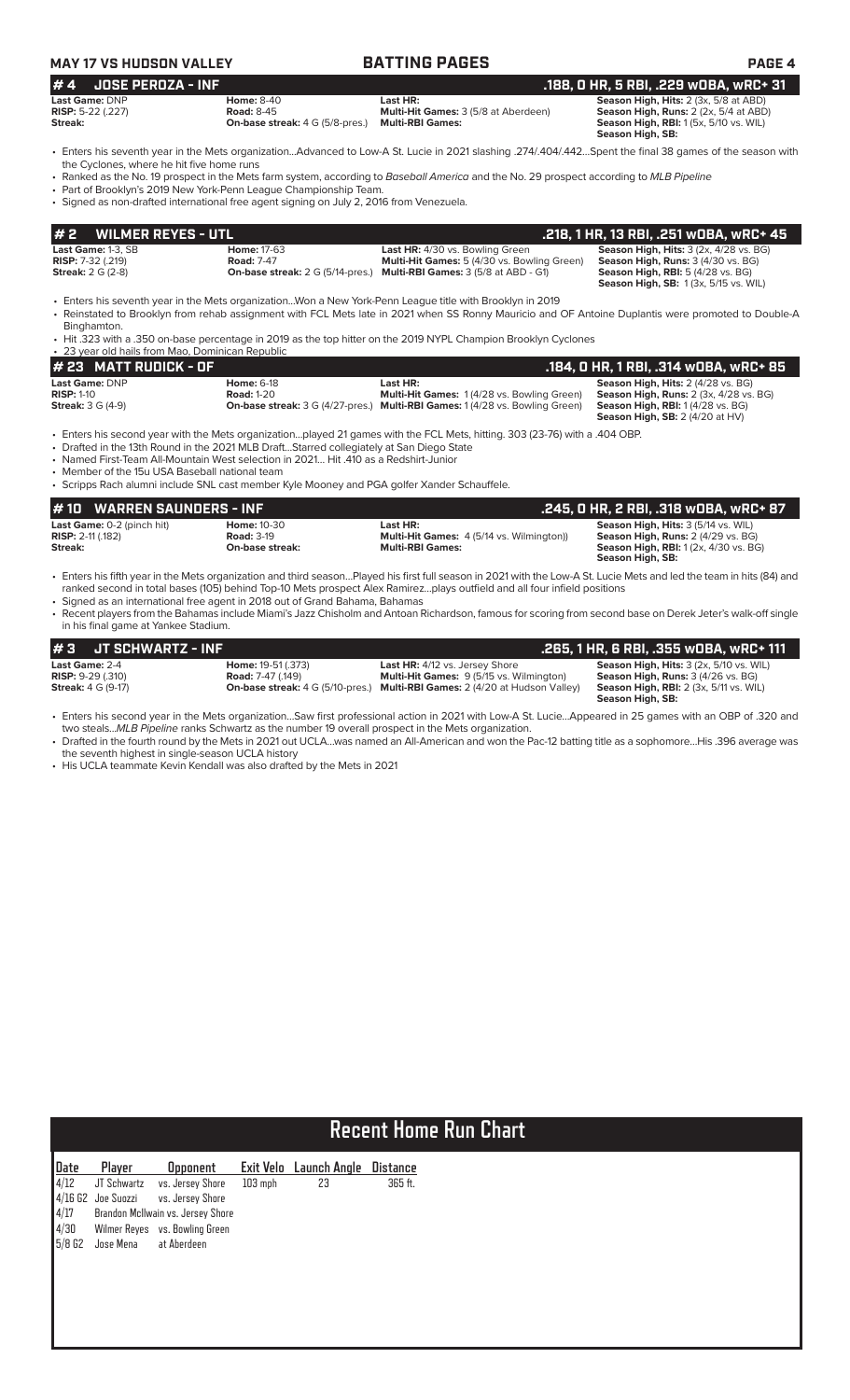| <b>JOSE PEROZA - INF</b><br>.188, 0 HR, 5 RBI, .229 wOBA, wRC+ 31<br><b>Home: 8-40</b><br>Last HR:<br>Season High, Hits: 2 (3x, 5/8 at ABD)<br><b>Road: 8-45</b><br>Multi-Hit Games: 3 (5/8 at Aberdeen)<br>Season High, Runs: 2 (2x, 5/4 at ABD)<br><b>Multi-RBI Games:</b><br>Season High, RBI: 1 (5x, 5/10 vs. WIL)<br><b>On-base streak:</b> 4 G (5/8-pres.)<br>Season High, SB:<br>· Enters his seventh year in the Mets organizationAdvanced to Low-A St. Lucie in 2021 slashing .274/.404/.442Spent the final 38 games of the season with<br>the Cyclones, where he hit five home runs<br>• Ranked as the No. 19 prospect in the Mets farm system, according to Baseball America and the No. 29 prospect according to MLB Pipeline<br>• Part of Brooklyn's 2019 New York-Penn League Championship Team.<br>· Signed as non-drafted international free agent signing on July 2, 2016 from Venezuela.<br>#2<br><b>WILMER REYES - UTL</b><br>.218, 1 HR, 13 RBI, .251 wOBA, wRC+ 45<br>Last Game: 1-3, SB<br><b>Home: 17-63</b><br>Last HR: 4/30 vs. Bowling Green<br><b>Season High, Hits: 3 (2x, 4/28 vs. BG)</b><br><b>Road: 7-47</b><br><b>RISP:</b> 7-32 (.219)<br>Multi-Hit Games: 5 (4/30 vs. Bowling Green)<br>Season High, Runs: 3 (4/30 vs. BG)<br><b>Streak: 2 G (2-8)</b><br>On-base streak: 2 G (5/14-pres.) Multi-RBI Games: 3 (5/8 at ABD - G1)<br><b>Season High, RBI: 5 (4/28 vs. BG)</b><br><b>Season High, SB: 1(3x, 5/15 vs. WIL)</b><br>• Enters his seventh year in the Mets organizationWon a New York-Penn League title with Brooklyn in 2019<br>• Reinstated to Brooklyn from rehab assignment with FCL Mets late in 2021 when SS Ronny Mauricio and OF Antoine Duplantis were promoted to Double-A<br>Binghamton.<br>• Hit .323 with a .350 on-base percentage in 2019 as the top hitter on the 2019 NYPL Champion Brooklyn Cyclones<br>• 23 year old hails from Mao, Dominican Republic<br># 23 MATT RUDICK - OF<br>.184, 0 HR, 1 RBI, .314 WOBA, WRC+ 85<br><b>Home: 6-18</b><br>Last HR:<br>Season High, Hits: 2 (4/28 vs. BG)<br>Multi-Hit Games: 1 (4/28 vs. Bowling Green)<br>Season High, Runs: 2 (3x, 4/28 vs. BG)<br><b>Road: 1-20</b><br>On-base streak: 3 G (4/27-pres.) Multi-RBI Games: 1 (4/28 vs. Bowling Green)<br>Season High, RBI: 1 (4/28 vs. BG)<br><b>Season High, SB:</b> $2(4/20$ at HV)<br>. Enters his second year with the Mets organizationplayed 21 games with the FCL Mets, hitting. 303 (23-76) with a .404 OBP.<br>• Drafted in the 13th Round in the 2021 MLB DraftStarred collegiately at San Diego State<br>• Named First-Team All-Mountain West selection in 2021 Hit .410 as a Redshirt-Junior<br>• Member of the 15u USA Baseball national team<br>• Scripps Rach alumni include SNL cast member Kyle Mooney and PGA golfer Xander Schauffele.<br><b>WARREN SAUNDERS - INF</b><br>.245, 0 HR, 2 RBI, .318 wOBA, wRC+ 87<br>#10<br>Season High, Hits: 3 (5/14 vs. WIL)<br>Last Game: 0-2 (pinch hit)<br><b>Home: 10-30</b><br>Last HR:<br>Multi-Hit Games: 4 (5/14 vs. Wilmington))<br><b>RISP: 2-11 (.182)</b><br><b>Road: 3-19</b><br>Season High, Runs: 2 (4/29 vs. BG)<br>Streak:<br>On-base streak:<br><b>Multi-RBI Games:</b><br>Season High, RBI: 1 (2x, 4/30 vs. BG)<br>Season High, SB:<br>• Enters his fifth year in the Mets organization and third seasonPlayed his first full season in 2021 with the Low-A St. Lucie Mets and led the team in hits (84) and<br>ranked second in total bases (105) behind Top-10 Mets prospect Alex Ramirezplays outfield and all four infield positions<br>• Signed as an international free agent in 2018 out of Grand Bahama, Bahamas<br>• Recent players from the Bahamas include Miami's Jazz Chisholm and Antoan Richardson, famous for scoring from second base on Derek Jeter's walk-off single<br>in his final game at Yankee Stadium.<br><b>JT SCHWARTZ - INF</b><br>#3<br>.265, 1 HR, 6 RBI, .355 WOBA, WRC+ 111<br>Last HR: 4/12 vs. Jersey Shore<br><b>Season High, Hits: 3 (2x, 5/10 vs. WIL)</b><br><b>Home:</b> 19-51 (.373)<br>Multi-Hit Games: 9 (5/15 vs. Wilmington)<br><b>Road:</b> 7-47 (.149)<br><b>Season High, Runs:</b> 3 (4/26 vs. BG)<br><b>On-base streak:</b> 4 G (5/10-pres.)<br><b>Multi-RBI Games:</b> 2 (4/20 at Hudson Valley)<br><b>Season High, RBI:</b> 2 (3x, 5/11 vs. WIL)<br>Season High, SB:<br>• Enters his second year in the Mets organizationSaw first professional action in 2021 with Low-A St. LucieAppeared in 25 games with an OBP of .320 and<br>two stealsMLB Pipeline ranks Schwartz as the number 19 overall prospect in the Mets organization.<br>· Drafted in the fourth round by the Mets in 2021 out UCLAwas named an All-American and won the Pac-12 batting title as a sophomoreHis .396 average was<br>the seventh highest in single-season UCLA history<br>• His UCLA teammate Kevin Kendall was also drafted by the Mets in 2021 | <b>MAY 17 VS HUDSON VALLEY</b>                                          | <b>BATTING PAGES</b> | PAGE 4 |
|-----------------------------------------------------------------------------------------------------------------------------------------------------------------------------------------------------------------------------------------------------------------------------------------------------------------------------------------------------------------------------------------------------------------------------------------------------------------------------------------------------------------------------------------------------------------------------------------------------------------------------------------------------------------------------------------------------------------------------------------------------------------------------------------------------------------------------------------------------------------------------------------------------------------------------------------------------------------------------------------------------------------------------------------------------------------------------------------------------------------------------------------------------------------------------------------------------------------------------------------------------------------------------------------------------------------------------------------------------------------------------------------------------------------------------------------------------------------------------------------------------------------------------------------------------------------------------------------------------------------------------------------------------------------------------------------------------------------------------------------------------------------------------------------------------------------------------------------------------------------------------------------------------------------------------------------------------------------------------------------------------------------------------------------------------------------------------------------------------------------------------------------------------------------------------------------------------------------------------------------------------------------------------------------------------------------------------------------------------------------------------------------------------------------------------------------------------------------------------------------------------------------------------------------------------------------------------------------------------------------------------------------------------------------------------------------------------------------------------------------------------------------------------------------------------------------------------------------------------------------------------------------------------------------------------------------------------------------------------------------------------------------------------------------------------------------------------------------------------------------------------------------------------------------------------------------------------------------------------------------------------------------------------------------------------------------------------------------------------------------------------------------------------------------------------------------------------------------------------------------------------------------------------------------------------------------------------------------------------------------------------------------------------------------------------------------------------------------------------------------------------------------------------------------------------------------------------------------------------------------------------------------------------------------------------------------------------------------------------------------------------------------------------------------------------------------------------------------------------------------------------------------------------------------------------------------------------------------------------------------------------------------------------------------------------------------------------------------------------------------------------------------------------------------------------------------------------------------------------------------------------------------------------------------------------------------------------------------------------------------------------------------------------------------------------------------------------------------------------------------------------------------------------------------------------------------------------------------------------------------------------------------------------------------|-------------------------------------------------------------------------|----------------------|--------|
|                                                                                                                                                                                                                                                                                                                                                                                                                                                                                                                                                                                                                                                                                                                                                                                                                                                                                                                                                                                                                                                                                                                                                                                                                                                                                                                                                                                                                                                                                                                                                                                                                                                                                                                                                                                                                                                                                                                                                                                                                                                                                                                                                                                                                                                                                                                                                                                                                                                                                                                                                                                                                                                                                                                                                                                                                                                                                                                                                                                                                                                                                                                                                                                                                                                                                                                                                                                                                                                                                                                                                                                                                                                                                                                                                                                                                                                                                                                                                                                                                                                                                                                                                                                                                                                                                                                                                                                                                                                                                                                                                                                                                                                                                                                                                                                                                                                                                                                 | #4                                                                      |                      |        |
|                                                                                                                                                                                                                                                                                                                                                                                                                                                                                                                                                                                                                                                                                                                                                                                                                                                                                                                                                                                                                                                                                                                                                                                                                                                                                                                                                                                                                                                                                                                                                                                                                                                                                                                                                                                                                                                                                                                                                                                                                                                                                                                                                                                                                                                                                                                                                                                                                                                                                                                                                                                                                                                                                                                                                                                                                                                                                                                                                                                                                                                                                                                                                                                                                                                                                                                                                                                                                                                                                                                                                                                                                                                                                                                                                                                                                                                                                                                                                                                                                                                                                                                                                                                                                                                                                                                                                                                                                                                                                                                                                                                                                                                                                                                                                                                                                                                                                                                 | Last Game: DNP<br>RISP: 5-22 (.227)<br>Streak:                          |                      |        |
|                                                                                                                                                                                                                                                                                                                                                                                                                                                                                                                                                                                                                                                                                                                                                                                                                                                                                                                                                                                                                                                                                                                                                                                                                                                                                                                                                                                                                                                                                                                                                                                                                                                                                                                                                                                                                                                                                                                                                                                                                                                                                                                                                                                                                                                                                                                                                                                                                                                                                                                                                                                                                                                                                                                                                                                                                                                                                                                                                                                                                                                                                                                                                                                                                                                                                                                                                                                                                                                                                                                                                                                                                                                                                                                                                                                                                                                                                                                                                                                                                                                                                                                                                                                                                                                                                                                                                                                                                                                                                                                                                                                                                                                                                                                                                                                                                                                                                                                 |                                                                         |                      |        |
|                                                                                                                                                                                                                                                                                                                                                                                                                                                                                                                                                                                                                                                                                                                                                                                                                                                                                                                                                                                                                                                                                                                                                                                                                                                                                                                                                                                                                                                                                                                                                                                                                                                                                                                                                                                                                                                                                                                                                                                                                                                                                                                                                                                                                                                                                                                                                                                                                                                                                                                                                                                                                                                                                                                                                                                                                                                                                                                                                                                                                                                                                                                                                                                                                                                                                                                                                                                                                                                                                                                                                                                                                                                                                                                                                                                                                                                                                                                                                                                                                                                                                                                                                                                                                                                                                                                                                                                                                                                                                                                                                                                                                                                                                                                                                                                                                                                                                                                 |                                                                         |                      |        |
|                                                                                                                                                                                                                                                                                                                                                                                                                                                                                                                                                                                                                                                                                                                                                                                                                                                                                                                                                                                                                                                                                                                                                                                                                                                                                                                                                                                                                                                                                                                                                                                                                                                                                                                                                                                                                                                                                                                                                                                                                                                                                                                                                                                                                                                                                                                                                                                                                                                                                                                                                                                                                                                                                                                                                                                                                                                                                                                                                                                                                                                                                                                                                                                                                                                                                                                                                                                                                                                                                                                                                                                                                                                                                                                                                                                                                                                                                                                                                                                                                                                                                                                                                                                                                                                                                                                                                                                                                                                                                                                                                                                                                                                                                                                                                                                                                                                                                                                 |                                                                         |                      |        |
|                                                                                                                                                                                                                                                                                                                                                                                                                                                                                                                                                                                                                                                                                                                                                                                                                                                                                                                                                                                                                                                                                                                                                                                                                                                                                                                                                                                                                                                                                                                                                                                                                                                                                                                                                                                                                                                                                                                                                                                                                                                                                                                                                                                                                                                                                                                                                                                                                                                                                                                                                                                                                                                                                                                                                                                                                                                                                                                                                                                                                                                                                                                                                                                                                                                                                                                                                                                                                                                                                                                                                                                                                                                                                                                                                                                                                                                                                                                                                                                                                                                                                                                                                                                                                                                                                                                                                                                                                                                                                                                                                                                                                                                                                                                                                                                                                                                                                                                 |                                                                         |                      |        |
|                                                                                                                                                                                                                                                                                                                                                                                                                                                                                                                                                                                                                                                                                                                                                                                                                                                                                                                                                                                                                                                                                                                                                                                                                                                                                                                                                                                                                                                                                                                                                                                                                                                                                                                                                                                                                                                                                                                                                                                                                                                                                                                                                                                                                                                                                                                                                                                                                                                                                                                                                                                                                                                                                                                                                                                                                                                                                                                                                                                                                                                                                                                                                                                                                                                                                                                                                                                                                                                                                                                                                                                                                                                                                                                                                                                                                                                                                                                                                                                                                                                                                                                                                                                                                                                                                                                                                                                                                                                                                                                                                                                                                                                                                                                                                                                                                                                                                                                 |                                                                         |                      |        |
|                                                                                                                                                                                                                                                                                                                                                                                                                                                                                                                                                                                                                                                                                                                                                                                                                                                                                                                                                                                                                                                                                                                                                                                                                                                                                                                                                                                                                                                                                                                                                                                                                                                                                                                                                                                                                                                                                                                                                                                                                                                                                                                                                                                                                                                                                                                                                                                                                                                                                                                                                                                                                                                                                                                                                                                                                                                                                                                                                                                                                                                                                                                                                                                                                                                                                                                                                                                                                                                                                                                                                                                                                                                                                                                                                                                                                                                                                                                                                                                                                                                                                                                                                                                                                                                                                                                                                                                                                                                                                                                                                                                                                                                                                                                                                                                                                                                                                                                 |                                                                         |                      |        |
|                                                                                                                                                                                                                                                                                                                                                                                                                                                                                                                                                                                                                                                                                                                                                                                                                                                                                                                                                                                                                                                                                                                                                                                                                                                                                                                                                                                                                                                                                                                                                                                                                                                                                                                                                                                                                                                                                                                                                                                                                                                                                                                                                                                                                                                                                                                                                                                                                                                                                                                                                                                                                                                                                                                                                                                                                                                                                                                                                                                                                                                                                                                                                                                                                                                                                                                                                                                                                                                                                                                                                                                                                                                                                                                                                                                                                                                                                                                                                                                                                                                                                                                                                                                                                                                                                                                                                                                                                                                                                                                                                                                                                                                                                                                                                                                                                                                                                                                 |                                                                         |                      |        |
|                                                                                                                                                                                                                                                                                                                                                                                                                                                                                                                                                                                                                                                                                                                                                                                                                                                                                                                                                                                                                                                                                                                                                                                                                                                                                                                                                                                                                                                                                                                                                                                                                                                                                                                                                                                                                                                                                                                                                                                                                                                                                                                                                                                                                                                                                                                                                                                                                                                                                                                                                                                                                                                                                                                                                                                                                                                                                                                                                                                                                                                                                                                                                                                                                                                                                                                                                                                                                                                                                                                                                                                                                                                                                                                                                                                                                                                                                                                                                                                                                                                                                                                                                                                                                                                                                                                                                                                                                                                                                                                                                                                                                                                                                                                                                                                                                                                                                                                 | Last Game: DNP<br><b>RISP: 1-10</b><br><b>Streak: 3 G (4-9)</b>         |                      |        |
|                                                                                                                                                                                                                                                                                                                                                                                                                                                                                                                                                                                                                                                                                                                                                                                                                                                                                                                                                                                                                                                                                                                                                                                                                                                                                                                                                                                                                                                                                                                                                                                                                                                                                                                                                                                                                                                                                                                                                                                                                                                                                                                                                                                                                                                                                                                                                                                                                                                                                                                                                                                                                                                                                                                                                                                                                                                                                                                                                                                                                                                                                                                                                                                                                                                                                                                                                                                                                                                                                                                                                                                                                                                                                                                                                                                                                                                                                                                                                                                                                                                                                                                                                                                                                                                                                                                                                                                                                                                                                                                                                                                                                                                                                                                                                                                                                                                                                                                 |                                                                         |                      |        |
|                                                                                                                                                                                                                                                                                                                                                                                                                                                                                                                                                                                                                                                                                                                                                                                                                                                                                                                                                                                                                                                                                                                                                                                                                                                                                                                                                                                                                                                                                                                                                                                                                                                                                                                                                                                                                                                                                                                                                                                                                                                                                                                                                                                                                                                                                                                                                                                                                                                                                                                                                                                                                                                                                                                                                                                                                                                                                                                                                                                                                                                                                                                                                                                                                                                                                                                                                                                                                                                                                                                                                                                                                                                                                                                                                                                                                                                                                                                                                                                                                                                                                                                                                                                                                                                                                                                                                                                                                                                                                                                                                                                                                                                                                                                                                                                                                                                                                                                 |                                                                         |                      |        |
|                                                                                                                                                                                                                                                                                                                                                                                                                                                                                                                                                                                                                                                                                                                                                                                                                                                                                                                                                                                                                                                                                                                                                                                                                                                                                                                                                                                                                                                                                                                                                                                                                                                                                                                                                                                                                                                                                                                                                                                                                                                                                                                                                                                                                                                                                                                                                                                                                                                                                                                                                                                                                                                                                                                                                                                                                                                                                                                                                                                                                                                                                                                                                                                                                                                                                                                                                                                                                                                                                                                                                                                                                                                                                                                                                                                                                                                                                                                                                                                                                                                                                                                                                                                                                                                                                                                                                                                                                                                                                                                                                                                                                                                                                                                                                                                                                                                                                                                 |                                                                         |                      |        |
|                                                                                                                                                                                                                                                                                                                                                                                                                                                                                                                                                                                                                                                                                                                                                                                                                                                                                                                                                                                                                                                                                                                                                                                                                                                                                                                                                                                                                                                                                                                                                                                                                                                                                                                                                                                                                                                                                                                                                                                                                                                                                                                                                                                                                                                                                                                                                                                                                                                                                                                                                                                                                                                                                                                                                                                                                                                                                                                                                                                                                                                                                                                                                                                                                                                                                                                                                                                                                                                                                                                                                                                                                                                                                                                                                                                                                                                                                                                                                                                                                                                                                                                                                                                                                                                                                                                                                                                                                                                                                                                                                                                                                                                                                                                                                                                                                                                                                                                 |                                                                         |                      |        |
|                                                                                                                                                                                                                                                                                                                                                                                                                                                                                                                                                                                                                                                                                                                                                                                                                                                                                                                                                                                                                                                                                                                                                                                                                                                                                                                                                                                                                                                                                                                                                                                                                                                                                                                                                                                                                                                                                                                                                                                                                                                                                                                                                                                                                                                                                                                                                                                                                                                                                                                                                                                                                                                                                                                                                                                                                                                                                                                                                                                                                                                                                                                                                                                                                                                                                                                                                                                                                                                                                                                                                                                                                                                                                                                                                                                                                                                                                                                                                                                                                                                                                                                                                                                                                                                                                                                                                                                                                                                                                                                                                                                                                                                                                                                                                                                                                                                                                                                 |                                                                         |                      |        |
|                                                                                                                                                                                                                                                                                                                                                                                                                                                                                                                                                                                                                                                                                                                                                                                                                                                                                                                                                                                                                                                                                                                                                                                                                                                                                                                                                                                                                                                                                                                                                                                                                                                                                                                                                                                                                                                                                                                                                                                                                                                                                                                                                                                                                                                                                                                                                                                                                                                                                                                                                                                                                                                                                                                                                                                                                                                                                                                                                                                                                                                                                                                                                                                                                                                                                                                                                                                                                                                                                                                                                                                                                                                                                                                                                                                                                                                                                                                                                                                                                                                                                                                                                                                                                                                                                                                                                                                                                                                                                                                                                                                                                                                                                                                                                                                                                                                                                                                 |                                                                         |                      |        |
|                                                                                                                                                                                                                                                                                                                                                                                                                                                                                                                                                                                                                                                                                                                                                                                                                                                                                                                                                                                                                                                                                                                                                                                                                                                                                                                                                                                                                                                                                                                                                                                                                                                                                                                                                                                                                                                                                                                                                                                                                                                                                                                                                                                                                                                                                                                                                                                                                                                                                                                                                                                                                                                                                                                                                                                                                                                                                                                                                                                                                                                                                                                                                                                                                                                                                                                                                                                                                                                                                                                                                                                                                                                                                                                                                                                                                                                                                                                                                                                                                                                                                                                                                                                                                                                                                                                                                                                                                                                                                                                                                                                                                                                                                                                                                                                                                                                                                                                 | Last Game: 2-4<br><b>RISP: 9-29 (.310)</b><br><b>Streak:</b> 4 G (9-17) |                      |        |
|                                                                                                                                                                                                                                                                                                                                                                                                                                                                                                                                                                                                                                                                                                                                                                                                                                                                                                                                                                                                                                                                                                                                                                                                                                                                                                                                                                                                                                                                                                                                                                                                                                                                                                                                                                                                                                                                                                                                                                                                                                                                                                                                                                                                                                                                                                                                                                                                                                                                                                                                                                                                                                                                                                                                                                                                                                                                                                                                                                                                                                                                                                                                                                                                                                                                                                                                                                                                                                                                                                                                                                                                                                                                                                                                                                                                                                                                                                                                                                                                                                                                                                                                                                                                                                                                                                                                                                                                                                                                                                                                                                                                                                                                                                                                                                                                                                                                                                                 |                                                                         |                      |        |
|                                                                                                                                                                                                                                                                                                                                                                                                                                                                                                                                                                                                                                                                                                                                                                                                                                                                                                                                                                                                                                                                                                                                                                                                                                                                                                                                                                                                                                                                                                                                                                                                                                                                                                                                                                                                                                                                                                                                                                                                                                                                                                                                                                                                                                                                                                                                                                                                                                                                                                                                                                                                                                                                                                                                                                                                                                                                                                                                                                                                                                                                                                                                                                                                                                                                                                                                                                                                                                                                                                                                                                                                                                                                                                                                                                                                                                                                                                                                                                                                                                                                                                                                                                                                                                                                                                                                                                                                                                                                                                                                                                                                                                                                                                                                                                                                                                                                                                                 |                                                                         |                      |        |
|                                                                                                                                                                                                                                                                                                                                                                                                                                                                                                                                                                                                                                                                                                                                                                                                                                                                                                                                                                                                                                                                                                                                                                                                                                                                                                                                                                                                                                                                                                                                                                                                                                                                                                                                                                                                                                                                                                                                                                                                                                                                                                                                                                                                                                                                                                                                                                                                                                                                                                                                                                                                                                                                                                                                                                                                                                                                                                                                                                                                                                                                                                                                                                                                                                                                                                                                                                                                                                                                                                                                                                                                                                                                                                                                                                                                                                                                                                                                                                                                                                                                                                                                                                                                                                                                                                                                                                                                                                                                                                                                                                                                                                                                                                                                                                                                                                                                                                                 |                                                                         |                      |        |
|                                                                                                                                                                                                                                                                                                                                                                                                                                                                                                                                                                                                                                                                                                                                                                                                                                                                                                                                                                                                                                                                                                                                                                                                                                                                                                                                                                                                                                                                                                                                                                                                                                                                                                                                                                                                                                                                                                                                                                                                                                                                                                                                                                                                                                                                                                                                                                                                                                                                                                                                                                                                                                                                                                                                                                                                                                                                                                                                                                                                                                                                                                                                                                                                                                                                                                                                                                                                                                                                                                                                                                                                                                                                                                                                                                                                                                                                                                                                                                                                                                                                                                                                                                                                                                                                                                                                                                                                                                                                                                                                                                                                                                                                                                                                                                                                                                                                                                                 |                                                                         |                      |        |
|                                                                                                                                                                                                                                                                                                                                                                                                                                                                                                                                                                                                                                                                                                                                                                                                                                                                                                                                                                                                                                                                                                                                                                                                                                                                                                                                                                                                                                                                                                                                                                                                                                                                                                                                                                                                                                                                                                                                                                                                                                                                                                                                                                                                                                                                                                                                                                                                                                                                                                                                                                                                                                                                                                                                                                                                                                                                                                                                                                                                                                                                                                                                                                                                                                                                                                                                                                                                                                                                                                                                                                                                                                                                                                                                                                                                                                                                                                                                                                                                                                                                                                                                                                                                                                                                                                                                                                                                                                                                                                                                                                                                                                                                                                                                                                                                                                                                                                                 |                                                                         |                      |        |

|             | <b>Recent Home Run Chart</b> |                                   |           |              |          |  |  |
|-------------|------------------------------|-----------------------------------|-----------|--------------|----------|--|--|
| <b>Date</b> | Player                       | <b>Opponent</b>                   | Exit Velo | Launch Angle | Distance |  |  |
| 4/12        | JT Schwartz                  | vs. Jersey Shore                  | $103$ mph | 23           | 365 ft.  |  |  |
|             | $4/16$ G2 Joe Suozzi         | vs. Jersey Shore                  |           |              |          |  |  |
| $4/17$      |                              | Brandon McIlwain vs. Jersey Shore |           |              |          |  |  |
| 4/30        |                              | Wilmer Reyes vs. Bowling Green    |           |              |          |  |  |
| $5/8$ G2    | Jose Mena                    | at Aberdeen                       |           |              |          |  |  |
|             |                              |                                   |           |              |          |  |  |
|             |                              |                                   |           |              |          |  |  |
|             |                              |                                   |           |              |          |  |  |
|             |                              |                                   |           |              |          |  |  |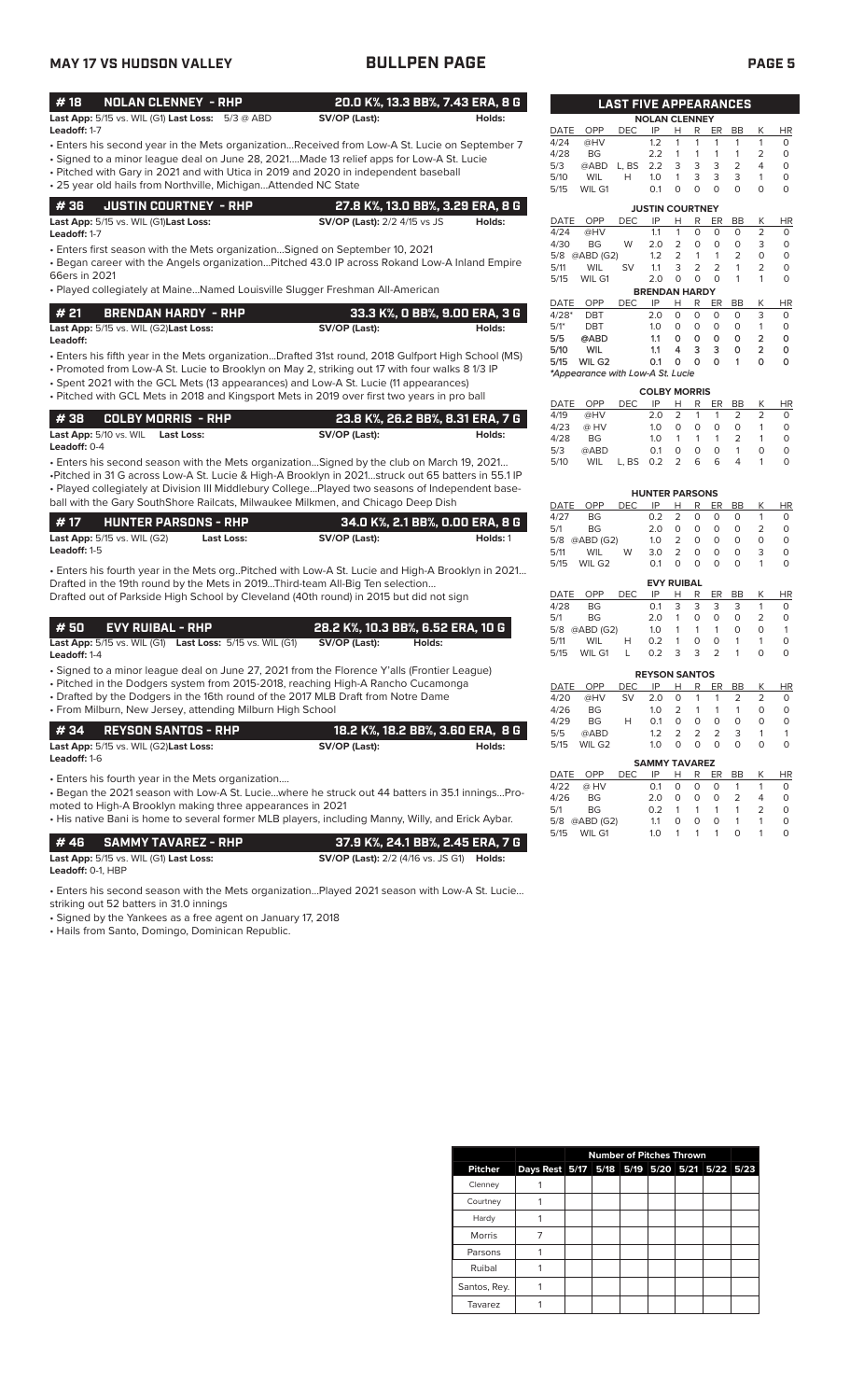# **MAY 17 VS HUDSON VALLEY BULLPEN PAGE PAGE 5**

| #18          | NOLAN CLENNEY - RHP                                         |               | 20.0 K%. 13.3 BB%. 7.43 ERA. 8 G |  |
|--------------|-------------------------------------------------------------|---------------|----------------------------------|--|
|              | <b>Last App:</b> $5/15$ vs. WIL (G1) Last Loss: $5/3$ @ ABD | SV/OP (Last): | Holds:                           |  |
| Leadoff: 1-7 |                                                             |               |                                  |  |

- Enters his second year in the Mets organization...Received from Low-A St. Lucie on September 7
- Signed to a minor league deal on June 28, 2021....Made 13 relief apps for Low-A St. Lucie • Pitched with Gary in 2021 and with Utica in 2019 and 2020 in independent baseball
- 25 year old hails from Northville, Michigan...Attended NC State

| # 36     JUSTIN COURTNEY  - RHP                      | 27.8 K%, 13.0 BB%, 3.29 ERA, 8 G    |        |
|------------------------------------------------------|-------------------------------------|--------|
| <b>Last App:</b> 5/15 vs. WIL (G1) <b>Last Loss:</b> | <b>SV/OP (Last):</b> 2/2 4/15 vs JS | Holds: |

**Leadoff:** 1-7

• Enters first season with the Mets organization…Signed on September 10, 2021

• Began career with the Angels organization…Pitched 43.0 IP across Rokand Low-A Inland Empire 66ers in 2021

• Played collegiately at Maine…Named Louisville Slugger Freshman All-American

| l # 21 | <b>BRENDAN HARDY - RHP</b>                           | 33.3 K%, O BB%, 9.00 ERA, 3 G |        |
|--------|------------------------------------------------------|-------------------------------|--------|
|        | <b>Last App:</b> 5/15 vs. WIL (G2) <b>Last Loss:</b> | SV/OP (Last):                 | Holds: |

• Enters his fifth year in the Mets organization...Drafted 31st round, 2018 Gulfport High School (MS) **Leadoff:**

• Promoted from Low-A St. Lucie to Brooklyn on May 2, striking out 17 with four walks 8 1/3 IP

• Spent 2021 with the GCL Mets (13 appearances) and Low-A St. Lucie (11 appearances) • Pitched with GCL Mets in 2018 and Kingsport Mets in 2019 over first two years in pro ball

|                                                            | i 23.8 K%, 26.2 BB%, 8.31 ERA, 7 G , |        |
|------------------------------------------------------------|--------------------------------------|--------|
| <b>Last App:</b> 5/10 vs. WIL Last Loss:<br>Leadoff: $0-4$ | SV/OP (Last):                        | Holds: |

• Enters his second season with the Mets organization…Signed by the club on March 19, 2021… •Pitched in 31 G across Low-A St. Lucie & High-A Brooklyn in 2021…struck out 65 batters in 55.1 IP • Played collegiately at Division III Middlebury College…Played two seasons of Independent baseball with the Gary SouthShore Railcats, Milwaukee Milkmen, and Chicago Deep Dish

| l #17               | <b>HUNTER PARSONS - RHP</b>            |            | 34.0 K%, 2.1 BB%, 0.00 ERA, 8 G |          |
|---------------------|----------------------------------------|------------|---------------------------------|----------|
|                     | <b>Last App:</b> $5/15$ vs. WIL $(G2)$ | Last Loss: | SV/OP (Last):                   | Holds: 1 |
| <b>Leadoff:</b> 1-5 |                                        |            |                                 |          |

• Enters his fourth year in the Mets org..Pitched with Low-A St. Lucie and High-A Brooklyn in 2021… Drafted in the 19th round by the Mets in 2019...Third-team All-Big Ten selection... Drafted out of Parkside High School by Cleveland (40th round) in 2015 but did not sign

| l # 50 | <b>EVY RUIBAL - RHP</b> |                                                                            |               | 28.2 K%. 10.3 BB%. 6.52 ERA. 10 G |
|--------|-------------------------|----------------------------------------------------------------------------|---------------|-----------------------------------|
|        |                         | <b>Last App:</b> $5/15$ vs. WIL (G1) <b>Last Loss:</b> $5/15$ vs. WIL (G1) | SV/OP (Last): | Holds:                            |

**Leadoff:** 1-4

• Signed to a minor league deal on June 27, 2021 from the Florence Y'alls (Frontier League)

• Pitched in the Dodgers system from 2015-2018, reaching High-A Rancho Cucamonga

• Drafted by the Dodgers in the 16th round of the 2017 MLB Draft from Notre Dame • From Milburn, New Jersey, attending Milburn High School

|                     | #34 REYSON SANTOS - RHP                           |  |               | ' 18.2 K%, 18.2 BB%, 3.60 ERA,  8 G , |
|---------------------|---------------------------------------------------|--|---------------|---------------------------------------|
| <b>Leadoff:</b> 1-6 | Last App: 5/15 vs. WIL (G2)Last Loss:             |  | SV/OP (Last): | Holds:                                |
|                     | • Enters his fourth year in the Mets organization |  |               |                                       |

• Began the 2021 season with Low-A St. Lucie…where he struck out 44 batters in 35.1 innings…Promoted to High-A Brooklyn making three appearances in 2021

• His native Bani is home to several former MLB players, including Manny, Willy, and Erick Aybar.

|                             | # 46      SAMMY TAVAREZ - RHP          | 37.9 K%. 24.1 BB%. 2.45 ERA. 7 G                        |  |
|-----------------------------|----------------------------------------|---------------------------------------------------------|--|
|                             | Last App: 5/15 vs. WIL (G1) Last Loss: | <b>SV/OP (Last):</b> 2/2 (4/16 vs. JS G1) <b>Holds:</b> |  |
| <b>Leadoff:</b> $0-1$ . HBP |                                        |                                                         |  |

• Enters his second season with the Mets organization…Played 2021 season with Low-A St. Lucie…

striking out 52 batters in 31.0 innings

• Signed by the Yankees as a free agent on January 17, 2018

• Hails from Santo, Domingo, Dominican Republic.

|                        |                                  | <b>LAST FIVE APPEARANCES</b> |                      |                |                |                |                |                         |           |  |
|------------------------|----------------------------------|------------------------------|----------------------|----------------|----------------|----------------|----------------|-------------------------|-----------|--|
|                        |                                  |                              | <b>NOLAN CLENNEY</b> |                |                |                |                |                         |           |  |
| <b>DATE</b>            | OPP                              | <b>DEC</b>                   | IP                   | Н              | R              | ER             | <b>BB</b>      | Κ                       | <b>HR</b> |  |
| 4/24                   | @HV                              |                              | 1.2                  | 1              | 1              | 1              | 1              | 1                       | 0         |  |
| 4/28                   | <b>BG</b>                        |                              | 2.2                  | 1              | 1              | 1              | 1              | 2                       | 0         |  |
| 5/3                    | @ABD                             | L, BS                        | 2.2                  | 3              | 3              | 3              | 2              | 4                       | 0         |  |
| 5/10                   | WIL                              | н                            | 1.0                  | 1              | 3              | 3              | 3              | 1                       | 0         |  |
| 5/15                   | WIL G1                           |                              | 0.1                  | 0              | $\Omega$       | O              | O              | 0                       | 0         |  |
|                        |                                  |                              |                      |                |                |                |                |                         |           |  |
| <b>JUSTIN COURTNEY</b> |                                  |                              |                      |                |                |                |                |                         |           |  |
| DATE                   | OPP                              | <b>DEC</b>                   | IP                   | Н              | R              | ER             | BB             | Κ                       | <b>HR</b> |  |
| 4/24                   | @HV                              |                              | 1.1                  | 1              | 0              | $\Omega$       | $\Omega$       | $\overline{2}$          | $\Omega$  |  |
| 4/30                   | <b>BG</b>                        | W                            | 2.0                  | 2              | 0              | $\Omega$       | $\Omega$       | 3                       | 0         |  |
| 5/8                    | @ABD (G2)                        |                              | 1.2                  | $\overline{2}$ | 1              | 1              | $\overline{2}$ | 0                       | 0         |  |
| 5/11                   | <b>WIL</b>                       | SV                           | 1.1                  | 3              | $\overline{2}$ | $\overline{2}$ | 1              | 2                       | 0         |  |
| 5/15                   | WIL G1                           |                              | 2.0                  | O              | 0              | $\Omega$       | 1              | 1                       | 0         |  |
|                        |                                  |                              | <b>BRENDAN HARDY</b> |                |                |                |                |                         |           |  |
| <b>DATE</b>            | OPP                              | <b>DEC</b>                   | IP                   | Н              | R              | ER             | BB             | Κ                       | <b>HR</b> |  |
| $4/28*$                | <b>DBT</b>                       |                              | 2.0                  | 0              | 0              | 0              | 0              | 3                       | 0         |  |
| $5/1*$                 | <b>DBT</b>                       |                              | 1.0                  | 0              | $\Omega$       | 0              | 0              | 1                       | 0         |  |
| 5/5                    | @ABD                             |                              | 1.1                  | O              | ٥              | ٥              | 0              | 2                       | 0         |  |
| 5/10                   | <b>WIL</b>                       |                              | 1.1                  | 4              | 3              | 3              | ٥              | $\overline{\mathbf{2}}$ | 0         |  |
| 5/15                   | WIL G <sub>2</sub>               |                              | 0.1                  | ٥              | 0              | O              | 1              | ٥                       | 0         |  |
|                        | *Appearance with Low-A St. Lucie |                              |                      |                |                |                |                |                         |           |  |
|                        | COLBY MORRIS                     |                              |                      |                |                |                |                |                         |           |  |

|      |           |            | <b>COLBY MORRIS</b> |   |                |    |               |   |           |
|------|-----------|------------|---------------------|---|----------------|----|---------------|---|-----------|
|      | DATE OPP  | DEC.       | IP                  | н | R              | ER | BB            | К | <b>HR</b> |
| 4/19 | @HV       |            | 2.0                 | 2 | $\overline{1}$ | -1 | $\mathcal{P}$ |   | 0         |
| 4/23 | @ HV      |            | 10                  | O | $\Omega$       | O  | O             |   | O         |
| 4/28 | <b>BG</b> |            | 10                  |   | $\mathbf{1}$   | 1  | $\mathcal{P}$ |   | O         |
| 5/3  | @ABD      |            | $\Omega$ 1          | O | $\Omega$       | O  | 1             |   | O         |
| 5/10 | WIL       | L.BS 0.2 2 |                     |   | 6              | 6  |               |   |           |

|                   | <b>HUNTER PARSONS</b> |            |            |   |   |    |    |               |           |  |  |
|-------------------|-----------------------|------------|------------|---|---|----|----|---------------|-----------|--|--|
| DATE              | OPP                   | <b>DEC</b> | IP         | н | R | ER | BB | K             | <b>HR</b> |  |  |
| 4/27              | BG                    |            | 0.2        | 2 | 0 | Ο  | O  |               | $\Omega$  |  |  |
| 5/1               | BG                    |            | 2.0        | O | Ο | O  | O  | $\mathcal{P}$ | $\Omega$  |  |  |
| 5/8               | @ABD (G2)             |            | 1.0        | 2 | Ο | O  | O  | Ω             | O         |  |  |
| 5/11              | WIL                   | W          | 3.0        | 2 | Ο | O  | O  | 3             | O         |  |  |
| 5/15              | WIL G <sub>2</sub>    |            | $\Omega$ 1 | O | O | O  | O  |               | O         |  |  |
| <b>EVY RUIBAL</b> |                       |            |            |   |   |    |    |               |           |  |  |

|      | DATE OPP      | <b>DEC</b>   | IP            | H. |       | R ER          | BB.      | K | <b>HR</b> |
|------|---------------|--------------|---------------|----|-------|---------------|----------|---|-----------|
| 4/28 | BG.           |              | 0.1           |    | 3 3   | -3            | -3       |   | 0         |
| 5/1  | BG.           |              | 2.0           | 1  | 0     | 0             | 0        | 2 | O         |
|      | 5/8 @ABD (G2) |              | 1.0           |    | 1 1 1 |               | $\Omega$ | O | 1         |
| 5/11 | WIL           | н            | 0.2           | 1. | 0     | 0             | 1        |   | O         |
| 5/15 | WIL G1        | $\mathbf{L}$ | $0.2^{\circ}$ | 3  | 3     | $\mathcal{P}$ | -1       | O | O         |

| <b>REYSON SANTOS</b> |           |     |            |               |               |               |    |                                    |                                    |  |  |
|----------------------|-----------|-----|------------|---------------|---------------|---------------|----|------------------------------------|------------------------------------|--|--|
| DATE                 | OPP       | DEC | ΙP         | н             | R             | ER            | BB | K                                  | ΗR                                 |  |  |
| 4/20                 | @HV       | SV  | 2.0        | O             | 1             | 1             | 2  | 2                                  | O                                  |  |  |
| 4/26                 | <b>BG</b> |     | 1 $\Omega$ | $\mathcal{P}$ | 1             | 1             | 1  | O                                  | O                                  |  |  |
| 4/29                 | <b>BG</b> | н   | $\Omega$ 1 | O             | Ο             | 0             | Ω  | O                                  | O                                  |  |  |
| 5/5                  | @ABD      |     | 12         | $\mathcal{P}$ | $\mathcal{P}$ | $\mathcal{P}$ | 3  |                                    |                                    |  |  |
| 5/15                 | WII G2    |     | 1 $\cap$   |               |               | O)            | O  | $\scriptstyle\rm\scriptstyle{(1)}$ | $\scriptstyle\rm\scriptstyle{(1)}$ |  |  |

| <b>SAMMY TAVAREZ</b> |               |      |            |          |   |    |                |               |           |  |
|----------------------|---------------|------|------------|----------|---|----|----------------|---------------|-----------|--|
| DATE                 | OPP           | DEC. | IP         | н        | R | ER | <b>BB</b>      | K             | <b>HR</b> |  |
| 4/22                 | @ HV          |      | $\Omega$ 1 | $\Omega$ | O | O  | $\mathbf{1}$   |               | U         |  |
| 4/26                 | <b>BG</b>     |      | 2 O        | O        | O | O  | 2              | 4             | O         |  |
| 5/1                  | <b>BG</b>     |      | 02         |          | 1 | 1  | $\overline{1}$ | $\mathcal{P}$ | U         |  |
|                      | 5/8 @ABD (G2) |      | 11         | O        | O | O  | 1              |               | Ω         |  |
| 5/15                 | WIL G1        |      | 1 ∩        |          | 1 | 1  | $\Omega$       |               |           |  |

|               |                                              | <b>Number of Pitches Thrown</b> |  |  |  |  |  |  |  |  |
|---------------|----------------------------------------------|---------------------------------|--|--|--|--|--|--|--|--|
| Pitcher       | Days Rest 5/17 5/18 5/19 5/20 5/21 5/22 5/23 |                                 |  |  |  |  |  |  |  |  |
| Clenney       |                                              |                                 |  |  |  |  |  |  |  |  |
| Courtney      |                                              |                                 |  |  |  |  |  |  |  |  |
| Hardy         |                                              |                                 |  |  |  |  |  |  |  |  |
| <b>Morris</b> |                                              |                                 |  |  |  |  |  |  |  |  |
| Parsons       |                                              |                                 |  |  |  |  |  |  |  |  |
| Ruibal        |                                              |                                 |  |  |  |  |  |  |  |  |
| Santos, Rey.  |                                              |                                 |  |  |  |  |  |  |  |  |
| Tavarez       |                                              |                                 |  |  |  |  |  |  |  |  |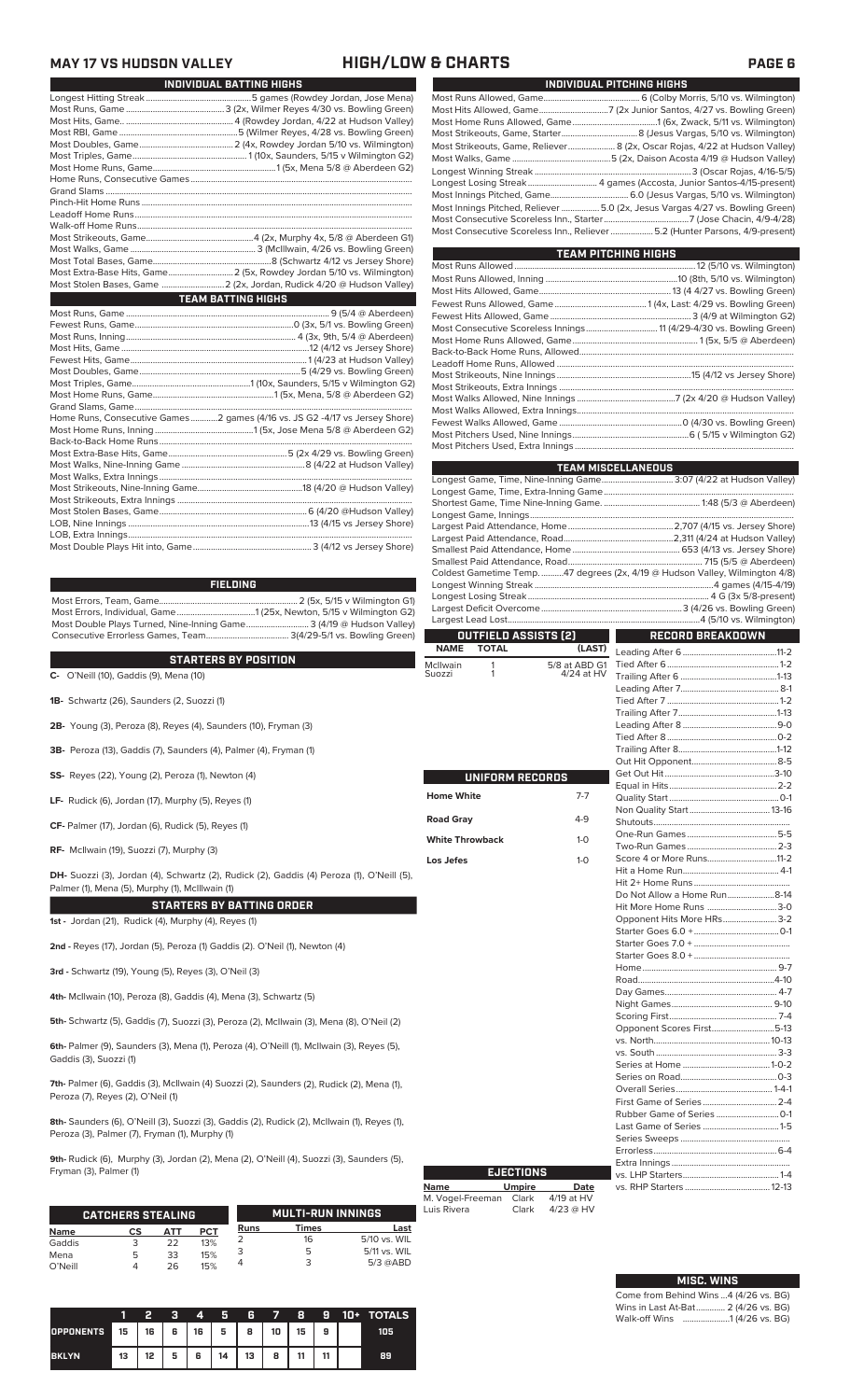### **MAY 17 VS HUDSON VALLEY HIGH/LOW & CHARTS PAGE 6**

| INDIVIDUAL BATTING HIGHS                                                    |
|-----------------------------------------------------------------------------|
|                                                                             |
|                                                                             |
|                                                                             |
|                                                                             |
|                                                                             |
|                                                                             |
|                                                                             |
|                                                                             |
|                                                                             |
|                                                                             |
|                                                                             |
|                                                                             |
|                                                                             |
|                                                                             |
|                                                                             |
|                                                                             |
| Most Stolen Bases, Game  2 (2x, Jordan, Rudick 4/20 @ Hudson Valley)        |
|                                                                             |
| <b>TEAM BATTING HIGHS</b>                                                   |
|                                                                             |
|                                                                             |
|                                                                             |
|                                                                             |
|                                                                             |
|                                                                             |
|                                                                             |
|                                                                             |
|                                                                             |
| Home Runs, Consecutive Games 2 games (4/16 vs. JS G2 -4/17 vs Jersey Shore) |
|                                                                             |
|                                                                             |
|                                                                             |
|                                                                             |
|                                                                             |
|                                                                             |

Most Errors, Team, Game.............................................................. 2 (5x, 5/15 v Wilmington G1) Most Errors, Individual, Game...................................1 (25x, Newton, 5/15 v Wilmington G2) Most Double Plays Turned, Nine-Inning Game............................ 3 (4/19 @ Hudson Valley) Consecutive Errorless Games, Team..................................... 3(4/29-5/1 vs. Bowling Green) **FIELDING**

### **STARTERS BY POSITION**

STARTERS BY PUSITION<br>
C- O'Neill (10), Gaddis (9), Mena (10)<br>
S

- **1B-** Schwartz (26), Saunders (2, Suozzi (1)
- **2B-** Young (3), Peroza (8), Reyes (4), Saunders (10), Fryman (3)
- **3B-** Peroza (13), Gaddis (7), Saunders (4), Palmer (4), Fryman (1)
- **SS-** Reyes (22), Young (2), Peroza (1), Newton (4)
- **LF-** Rudick (6), Jordan (17), Murphy (5), Reyes (1)
- **CF-** Palmer (17), Jordan (6), Rudick (5), Reyes (1)
- **RF-** McIlwain (19), Suozzi (7), Murphy (3)

**DH-** Suozzi (3), Jordan (4), Schwartz (2), Rudick (2), Gaddis (4) Peroza (1), O'Neill (5), Palmer (1), Mena (5), Murphy (1), McIllwain (1)

### **STARTERS BY BATTING ORDER**

**1st -** Jordan (21), Rudick (4), Murphy (4), Reyes (1)

**2nd -** Reyes (17), Jordan (5), Peroza (1) Gaddis (2). O'Neil (1), Newton (4)

**3rd -** Schwartz (19), Young (5), Reyes (3), O'Neil (3)

**4th-** McIlwain (10), Peroza (8), Gaddis (4), Mena (3), Schwartz (5)

**5th-** Schwartz (5), Gaddis (7), Suozzi (3), Peroza (2), McIlwain (3), Mena (8), O'Neil (2)

**6th-** Palmer (9), Saunders (3), Mena (1), Peroza (4), O'Neill (1), McIlwain (3), Reyes (5), Gaddis (3), Suozzi (1)

**7th-** Palmer (6), Gaddis (3), McIlwain (4) Suozzi (2), Saunders (2), Rudick (2), Mena (1), Peroza (7), Reyes (2), O'Neil (1)

**8th-** Saunders (6), O'Neill (3), Suozzi (3), Gaddis (2), Rudick (2), McIlwain (1), Reyes (1), Peroza (3), Palmer (7), Fryman (1), Murphy (1)

**9th-** Rudick (6), Murphy (3), Jordan (2), Mena (2), O'Neill (4), Suozzi (3), Saunders (5), Fryman (3), Palmer (1)

|             | <b>CATCHERS STEALING</b> |     |     |      | <b>MULTI-RUN INNINGS</b> |              |
|-------------|--------------------------|-----|-----|------|--------------------------|--------------|
| <b>Name</b> | СS                       | АТТ | PCT | Runs | Times                    | Last         |
| Gaddis      |                          | 22  | 13% |      | 16                       | 5/10 vs. WIL |
| Mena        | 5                        | 33  | 15% |      |                          | 5/11 vs. WIL |
| O'Neill     |                          | 26  | 15% |      |                          | $5/3$ @ABD   |

|                  |      |      | Ð | 4 | И                               | 6  | $\overline{7}$ | 8  | я  | 10+ TOTALS |
|------------------|------|------|---|---|---------------------------------|----|----------------|----|----|------------|
| <b>OPPONENTS</b> | 1 15 | 16 I | 6 |   | $16$ 5 $\overline{\phantom{0}}$ | 8  | 10             | 15 | 9  | 105        |
| <b>BKLYN</b>     | 13   | 12   | 5 | 6 | 14                              | 13 | 8              | 11 | 44 | 89         |

| INDIVIDUAL PITCHING HIGHS                                                                                                                                    |
|--------------------------------------------------------------------------------------------------------------------------------------------------------------|
|                                                                                                                                                              |
| Most Hits Allowed, Game7 (2x Junior Santos, 4/27 vs. Bowling Green)                                                                                          |
|                                                                                                                                                              |
|                                                                                                                                                              |
| Most Strikeouts, Game, Reliever 8 (2x, Oscar Rojas, 4/22 at Hudson Valley)                                                                                   |
|                                                                                                                                                              |
|                                                                                                                                                              |
|                                                                                                                                                              |
|                                                                                                                                                              |
| Most Innings Pitched, Reliever  5.0 (2x, Jesus Vargas 4/27 vs. Bowling Green)<br>Most Consecutive Scoreless Inn., Reliever 5.2 (Hunter Parsons, 4/9-present) |
|                                                                                                                                                              |

| <b>TEAM PITCHING HIGHS</b>                                          |  |  |  |  |  |  |
|---------------------------------------------------------------------|--|--|--|--|--|--|
|                                                                     |  |  |  |  |  |  |
|                                                                     |  |  |  |  |  |  |
|                                                                     |  |  |  |  |  |  |
|                                                                     |  |  |  |  |  |  |
|                                                                     |  |  |  |  |  |  |
| Most Consecutive Scoreless Innings 11 (4/29-4/30 vs. Bowling Green) |  |  |  |  |  |  |
|                                                                     |  |  |  |  |  |  |
|                                                                     |  |  |  |  |  |  |
|                                                                     |  |  |  |  |  |  |
|                                                                     |  |  |  |  |  |  |
|                                                                     |  |  |  |  |  |  |
|                                                                     |  |  |  |  |  |  |
|                                                                     |  |  |  |  |  |  |
|                                                                     |  |  |  |  |  |  |
|                                                                     |  |  |  |  |  |  |
|                                                                     |  |  |  |  |  |  |

|                                                                   |               | <b>TEAM MISCELLANEOUS</b>                                                    |  |  |  |  |  |  |
|-------------------------------------------------------------------|---------------|------------------------------------------------------------------------------|--|--|--|--|--|--|
| Longest Game, Time, Nine-Inning Game 3:07 (4/22 at Hudson Valley) |               |                                                                              |  |  |  |  |  |  |
|                                                                   |               |                                                                              |  |  |  |  |  |  |
|                                                                   |               |                                                                              |  |  |  |  |  |  |
|                                                                   |               |                                                                              |  |  |  |  |  |  |
|                                                                   |               |                                                                              |  |  |  |  |  |  |
|                                                                   |               |                                                                              |  |  |  |  |  |  |
|                                                                   |               |                                                                              |  |  |  |  |  |  |
|                                                                   |               | Coldest Gametime Temp. 47 degrees (2x, 4/19 @ Hudson Valley, Wilmington 4/8) |  |  |  |  |  |  |
|                                                                   |               |                                                                              |  |  |  |  |  |  |
|                                                                   |               |                                                                              |  |  |  |  |  |  |
|                                                                   |               |                                                                              |  |  |  |  |  |  |
|                                                                   |               |                                                                              |  |  |  |  |  |  |
| OUTFIELD ASSISTS (2)                                              |               | <b>RECORD BREAKDOWN</b>                                                      |  |  |  |  |  |  |
| <b>TOTAL</b><br><b>NAME</b>                                       | (LAST)        |                                                                              |  |  |  |  |  |  |
| McIlwain<br>1                                                     | 5/8 at ABD G1 |                                                                              |  |  |  |  |  |  |
| 1<br>Suozzi                                                       | 4/24 at HV    |                                                                              |  |  |  |  |  |  |
|                                                                   |               |                                                                              |  |  |  |  |  |  |
|                                                                   |               |                                                                              |  |  |  |  |  |  |
|                                                                   |               |                                                                              |  |  |  |  |  |  |
|                                                                   |               |                                                                              |  |  |  |  |  |  |
|                                                                   |               |                                                                              |  |  |  |  |  |  |
|                                                                   |               |                                                                              |  |  |  |  |  |  |
|                                                                   |               |                                                                              |  |  |  |  |  |  |
| UNIFORM RECORDS                                                   |               |                                                                              |  |  |  |  |  |  |
|                                                                   |               |                                                                              |  |  |  |  |  |  |
| <b>Home White</b>                                                 | $7 - 7$       |                                                                              |  |  |  |  |  |  |
| <b>Road Gray</b>                                                  | $4-9$         |                                                                              |  |  |  |  |  |  |
|                                                                   |               |                                                                              |  |  |  |  |  |  |
| <b>White Throwback</b>                                            | $1 - 0$       |                                                                              |  |  |  |  |  |  |
| Los Jefes                                                         | $1-0$         | Score 4 or More Runs11-2                                                     |  |  |  |  |  |  |
|                                                                   |               |                                                                              |  |  |  |  |  |  |
|                                                                   |               |                                                                              |  |  |  |  |  |  |
|                                                                   |               | Do Not Allow a Home Run8-14                                                  |  |  |  |  |  |  |
|                                                                   |               | Hit More Home Runs 3-0                                                       |  |  |  |  |  |  |
|                                                                   |               | Opponent Hits More HRs 3-2                                                   |  |  |  |  |  |  |
|                                                                   |               |                                                                              |  |  |  |  |  |  |
|                                                                   |               |                                                                              |  |  |  |  |  |  |
|                                                                   |               |                                                                              |  |  |  |  |  |  |
|                                                                   |               |                                                                              |  |  |  |  |  |  |
|                                                                   |               |                                                                              |  |  |  |  |  |  |
|                                                                   |               |                                                                              |  |  |  |  |  |  |
|                                                                   |               |                                                                              |  |  |  |  |  |  |
|                                                                   |               | Opponent Scores First5-13                                                    |  |  |  |  |  |  |
|                                                                   |               |                                                                              |  |  |  |  |  |  |
|                                                                   |               |                                                                              |  |  |  |  |  |  |
|                                                                   |               |                                                                              |  |  |  |  |  |  |
|                                                                   |               |                                                                              |  |  |  |  |  |  |
|                                                                   |               |                                                                              |  |  |  |  |  |  |
|                                                                   |               |                                                                              |  |  |  |  |  |  |
|                                                                   |               |                                                                              |  |  |  |  |  |  |
|                                                                   |               |                                                                              |  |  |  |  |  |  |

|                  | <b>EJECTIONS</b> |             |
|------------------|------------------|-------------|
| <b>Name</b>      | <b>Umpire</b>    | Date        |
| M. Vogel-Freeman | Clark            | 4/19 at HV  |
| Luis Rivera      | Clark            | $4/23$ @ HV |

| <b>MISC. WINS</b>                     |  |
|---------------------------------------|--|
| Come from Behind Wins 4 (4/26 vs. BG) |  |
| Wins in Last At-Bat 2 (4/26 vs. BG)   |  |
| Walk-off Wins    1 (4/26 vs. BG)      |  |

Series Sweeps .................................................

Extra Innings .....................................................

vs. RHP Starters ......................................12-13

Errorless.

vs. LHP Starters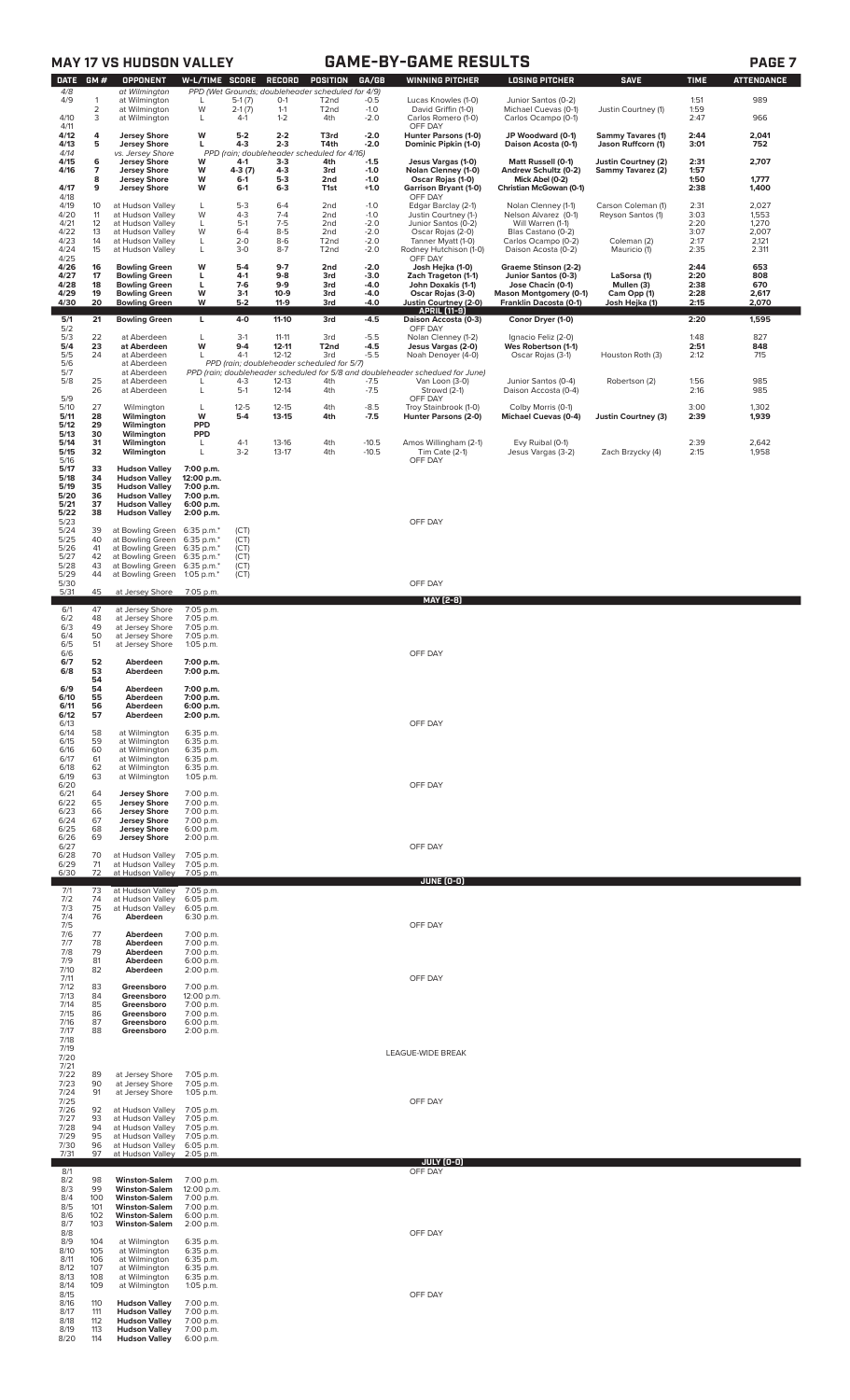|                           |                     | <b>MAY 17 VS HUDSON VALLEY</b>                                       |                                        |                             |                            |                                                                                    |                            | <b>GAME-BY-GAME RESULTS</b>                                                                                     |                                                                           |                                                |                      | PAGE <sub>7</sub>        |
|---------------------------|---------------------|----------------------------------------------------------------------|----------------------------------------|-----------------------------|----------------------------|------------------------------------------------------------------------------------|----------------------------|-----------------------------------------------------------------------------------------------------------------|---------------------------------------------------------------------------|------------------------------------------------|----------------------|--------------------------|
| <b>DATE</b><br>4/8<br>4/9 | GM#<br>$\mathbf{1}$ | <b>OPPONENT</b><br>at Wilmington<br>at Wilmington                    | <b>W-L/TIME SCORE</b><br>L             | $5-1(7)$                    | RECORD<br>$0-1$            | POSITION<br>PPD (Wet Grounds; doubleheader scheduled for 4/9)<br>T <sub>2</sub> nd | GA/GB<br>$-0.5$            | <b>WINNING PITCHER</b><br>Lucas Knowles (1-0)                                                                   | <b>LOSING PITCHER</b><br>Junior Santos (0-2)                              | <b>SAVE</b>                                    | <b>TIME</b><br>1:51  | <b>ATTENDANCE</b><br>989 |
| 4/10                      | $\overline{2}$<br>3 | at Wilmington<br>at Wilmington                                       | W<br>L                                 | $2-1(7)$<br>$4-1$           | $1 - 1$<br>$1 - 2$         | T <sub>2</sub> nd<br>4th                                                           | $-1.0$<br>$-2.0$           | David Griffin (1-0)<br>Carlos Romero (1-0)                                                                      | Michael Cuevas (0-1)<br>Carlos Ocampo (0-1)                               | Justin Courtney (1)                            | 1:59<br>2:47         | 966                      |
| 4/11<br>4/12<br>4/13      | 4<br>5              | <b>Jersey Shore</b><br><b>Jersey Shore</b>                           | W<br>L                                 | $5-2$<br>$4 - 3$            | $2 - 2$<br>$2 - 3$         | T3rd<br>T4th                                                                       | $-2.0$<br>$-2.0$           | OFF DAY<br>Hunter Parsons (1-0)<br>Dominic Pipkin (1-0)                                                         | JP Woodward (0-1)<br>Daison Acosta (0-1)                                  | <b>Sammy Tavares (1)</b><br>Jason Ruffcorn (1) | 2:44<br>3:01         | 2,041<br>752             |
| 4/14<br>4/15<br>4/16      | 6<br>7              | vs. Jersey Shore<br><b>Jersey Shore</b><br><b>Jersey Shore</b>       | W<br>W                                 | 4-1<br>4-3 (7)              | $3 - 3$<br>$4 - 3$         | PPD (rain; doubleheader scheduled for 4/16)<br>4th<br>3rd                          | $-1.5$<br>$-1.0$           | Jesus Vargas (1-0)<br>Nolan Clenney (1-0)                                                                       | Matt Russell (0-1)<br>Andrew Schultz (0-2)                                | Justin Courtney (2)<br>Sammy Tavarez (2)       | 2:31<br>1:57         | 2,707                    |
| 4/17<br>4/18              | 8<br>9              | <b>Jersey Shore</b><br><b>Jersey Shore</b>                           | W<br>W                                 | $6-1$<br>$6 - 1$            | $5-3$<br>$6 - 3$           | 2nd<br>T1st                                                                        | $-1.0$<br>$+1.0$           | Oscar Rojas (1-0)<br><b>Garrison Bryant (1-0)</b><br>OFF DAY                                                    | Mick Abel (0-2)<br>Christian McGowan (0-1)                                |                                                | 1:50<br>2:38         | 1,777<br>1,400           |
| 4/19<br>4/20              | 10<br>11            | at Hudson Valley<br>at Hudson Valley                                 | L<br>W                                 | $5 - 3$<br>$4 - 3$          | $6 - 4$<br>$7 - 4$         | 2nd<br>2nd                                                                         | $-1.0$<br>$-1.0$           | Edgar Barclay (2-1)<br>Justin Courtney (1-)                                                                     | Nolan Clenney (1-1)<br>Nelson Alvarez (0-1)                               | Carson Coleman (1)<br>Reyson Santos (1)        | 2:31<br>3:03         | 2,027<br>1,553           |
| 4/21<br>4/22<br>4/23      | 12<br>13<br>14      | at Hudson Valley<br>at Hudson Valley<br>at Hudson Valley             | L<br>W<br>L                            | $5-1$<br>$6 - 4$<br>$2 - 0$ | $7-5$<br>$8-5$<br>$8-6$    | 2nd<br>2nd<br>T <sub>2</sub> nd                                                    | $-2.0$<br>$-2.0$<br>$-2.0$ | Junior Santos (0-2)<br>Oscar Rojas (2-0)<br>Tanner Myatt (1-0)                                                  | Will Warren (1-1)<br>Blas Castano (0-2)<br>Carlos Ocampo (0-2)            | Coleman (2)                                    | 2:20<br>3:07<br>2:17 | 1,270<br>2,007<br>2,121  |
| 4/24<br>4/25<br>4/26      | 15<br>16            | at Hudson Valley<br><b>Bowling Green</b>                             | L<br>W                                 | $3 - 0$<br>$5-4$            | $8 - 7$<br>$9-7$           | T <sub>2</sub> nd<br>2nd                                                           | $-2.0$<br>$-2.0$           | Rodney Hutchison (1-0)<br>OFF DAY<br>Josh Hejka (1-0)                                                           | Daison Acosta (0-2)<br>Graeme Stinson (2-2)                               | Mauricio (1)                                   | 2:35<br>2:44         | 2.311<br>653             |
| 4/27<br>4/28<br>4/29      | 17<br>18<br>19      | <b>Bowling Green</b><br><b>Bowling Green</b><br><b>Bowling Green</b> | L<br>L<br>W                            | $4-1$<br>$7-6$<br>$3-1$     | $9 - 8$<br>$9-9$<br>$10-9$ | 3rd<br>3rd<br>3rd                                                                  | $-3.0$<br>-4.0<br>-4.0     | Zach Trageton (1-1)<br>John Doxakis (1-1)<br>Oscar Rojas (3-0)                                                  | Junior Santos (0-3)<br>Jose Chacin (0-1)<br><b>Mason Montgomery (0-1)</b> | LaSorsa (1)<br>Mullen (3)<br>Cam Opp (1)       | 2:20<br>2:38<br>2:28 | 808<br>670<br>2,617      |
| 4/30                      | 20                  | <b>Bowling Green</b>                                                 | W                                      | $5 - 2$                     | $11-9$                     | 3rd                                                                                | -4.0                       | Justin Courtney (2-0)<br><b>APRIL [11-9]</b>                                                                    | Franklin Dacosta (0-1)                                                    | Josh Hejka (1)                                 | 2:15                 | 2,070                    |
| 5/1<br>5/2<br>5/3         | 21<br>22            | <b>Bowling Green</b><br>at Aberdeen                                  | L<br>L                                 | $4 - 0$<br>$3-1$            | $11-10$<br>$11 - 11$       | 3rd<br>3rd                                                                         | $-4.5$<br>$-5.5$           | Daison Accosta (0-3)<br>OFF DAY<br>Nolan Clenney (1-2)                                                          | Conor Dryer (1-0)<br>Ignacio Feliz (2-0)                                  |                                                | 2:20<br>1:48         | 1,595<br>827             |
| 5/4<br>$\frac{5}{5}$      | 23<br>24            | at Aberdeen<br>at Aberdeen<br>at Aberdeen                            | W<br>$\mathbf{I}$                      | $9 - 4$<br>$4-1$            | $12 - 11$<br>$12 - 12$     | T <sub>2nd</sub><br>3rd<br>PPD (rain; doubleheader scheduled for 5/7)              | $-4.5$<br>$-5.5$           | Jesus Vargas (2-0)<br>Noah Denoyer (4-0)                                                                        | Wes Robertson (1-1)<br>Oscar Rojas (3-1)                                  | Houston Roth (3)                               | 2:51<br>2:12         | 848<br>715               |
| 5/7<br>5/8                | 25<br>26            | at Aberdeen<br>at Aberdeen<br>at Aberdeen                            | L                                      | $4 - 3$<br>$5-1$            | 12-13<br>$12 - 14$         | 4th<br>4th                                                                         | $-7.5$<br>$-7.5$           | PPD (rain; doubleheader scheduled for 5/8 and doubleheader schedued for June)<br>Van Loon (3-0)<br>Strowd (2-1) | Junior Santos (0-4)<br>Daison Accosta (0-4)                               | Robertson (2)                                  | 1:56<br>2:16         | 985<br>985               |
| 5/9<br>5/10               | 27                  | Wilmington                                                           | L                                      | $12 - 5$                    | $12 - 15$                  | 4th                                                                                | $-8.5$                     | OFF DAY<br>Troy Stainbrook (1-0)                                                                                | Colby Morris (0-1)                                                        |                                                | 3:00                 | 1,302                    |
| 5/11<br>5/12<br>5/13      | 28<br>29<br>30      | Wilmington<br>Wilmington<br>Wilmington                               | W<br><b>PPD</b><br><b>PPD</b>          | $5-4$                       | $13 - 15$                  | 4th                                                                                | $-7.5$                     | Hunter Parsons (2-0)                                                                                            | <b>Michael Cuevas (0-4)</b>                                               | <b>Justin Courtney (3)</b>                     | 2:39                 | 1,939                    |
| 5/14<br>5/15<br>5/16      | 31<br>32            | Wilmington<br>Wilmington                                             | L<br>L                                 | $4-1$<br>$3-2$              | 13-16<br>$13-17$           | 4th<br>4th                                                                         | $-10.5$<br>$-10.5$         | Amos Willingham (2-1)<br>Tim Cate (2-1)<br>OFF DAY                                                              | Evy Ruibal (0-1)<br>Jesus Vargas (3-2)                                    | Zach Brzycky (4)                               | 2:39<br>2:15         | 2,642<br>1,958           |
| 5/17<br>5/18<br>5/19      | 33<br>34<br>35      | <b>Hudson Valley</b><br><b>Hudson Valley</b><br><b>Hudson Valley</b> | 7:00 p.m.<br>12:00 p.m.<br>7:00 p.m.   |                             |                            |                                                                                    |                            |                                                                                                                 |                                                                           |                                                |                      |                          |
| 5/20<br>5/21<br>5/22      | 36<br>37            | <b>Hudson Valley</b><br><b>Hudson Valley</b>                         | 7:00 p.m.<br>6:00 p.m.                 |                             |                            |                                                                                    |                            |                                                                                                                 |                                                                           |                                                |                      |                          |
| 5/23<br>5/24              | 38<br>39            | <b>Hudson Valley</b><br>at Bowling Green                             | 2:00 p.m.<br>6:35 p.m.*                | (CT)                        |                            |                                                                                    |                            | OFF DAY                                                                                                         |                                                                           |                                                |                      |                          |
| 5/25<br>5/26<br>5/27      | 40<br>41<br>42      | at Bowling Green<br>at Bowling Green<br>at Bowling Green             | 6:35 p.m.*<br>6:35 p.m.*<br>6:35 p.m.* | (CT)<br>(CT)<br>(CT)        |                            |                                                                                    |                            |                                                                                                                 |                                                                           |                                                |                      |                          |
| 5/28<br>5/29<br>5/30      | 43<br>44            | at Bowling Green<br>at Bowling Green                                 | 6:35 p.m.*<br>1:05 p.m.*               | (CT)<br>(CT)                |                            |                                                                                    |                            | OFF DAY                                                                                                         |                                                                           |                                                |                      |                          |
| 5/31<br>6/1               | 45<br>47            | at Jersey Shore<br>at Jersey Shore                                   | 7:05 p.m.<br>7:05 p.m.                 |                             |                            |                                                                                    |                            | <u>MAY [2-8]</u>                                                                                                |                                                                           |                                                |                      |                          |
| 6/2<br>6/3                | 48<br>49            | at Jersey Shore<br>at Jersey Shore                                   | 7:05 p.m.<br>7:05 p.m.                 |                             |                            |                                                                                    |                            |                                                                                                                 |                                                                           |                                                |                      |                          |
| $6/4$<br>$6/5$<br>$6/6$   | 50<br>51            | at Jersey Shore<br>at Jersey Shore                                   | 7:05 p.m.<br>1:05 p.m.                 |                             |                            |                                                                                    |                            | OFF DAY                                                                                                         |                                                                           |                                                |                      |                          |
| 6/7<br>6/8                | 52<br>53<br>54      | Aberdeen<br>Aberdeen                                                 | 7:00 p.m.<br>7:00 p.m.                 |                             |                            |                                                                                    |                            |                                                                                                                 |                                                                           |                                                |                      |                          |
| 6/9<br>6/10<br>6/11       | 54<br>55<br>56      | Aberdeen<br>Aberdeen<br>Aberdeen                                     | 7:00 p.m.<br>7:00 p.m.<br>6:00 p.m.    |                             |                            |                                                                                    |                            |                                                                                                                 |                                                                           |                                                |                      |                          |
| 6/12<br>6/13              | 57                  | Aberdeen                                                             | 2:00 p.m.                              |                             |                            |                                                                                    |                            | OFF DAY                                                                                                         |                                                                           |                                                |                      |                          |
| 6/14<br>6/15<br>6/16      | 58<br>59<br>60      | at Wilmington<br>at Wilmington<br>at Wilmington                      | 6:35 p.m.<br>6:35 p.m.<br>6:35 p.m.    |                             |                            |                                                                                    |                            |                                                                                                                 |                                                                           |                                                |                      |                          |
| 6/17<br>6/18<br>6/19      | 61<br>62<br>63      | at Wilmington<br>at Wilmington<br>at Wilmington                      | 6:35 p.m.<br>6:35 p.m.<br>1:05 p.m.    |                             |                            |                                                                                    |                            |                                                                                                                 |                                                                           |                                                |                      |                          |
| 6/20<br>6/21<br>6/22      | 64<br>65            | <b>Jersey Shore</b><br><b>Jersey Shore</b>                           | 7:00 p.m.<br>7:00 p.m.                 |                             |                            |                                                                                    |                            | OFF DAY                                                                                                         |                                                                           |                                                |                      |                          |
| 6/23<br>6/24              | 66<br>67            | <b>Jersey Shore</b><br><b>Jersey Shore</b>                           | 7:00 p.m.<br>7:00 p.m.                 |                             |                            |                                                                                    |                            |                                                                                                                 |                                                                           |                                                |                      |                          |
| 6/25<br>6/26<br>6/27      | 68<br>69            | <b>Jersey Shore</b><br><b>Jersey Shore</b>                           | 6:00 p.m.<br>2:00 p.m.                 |                             |                            |                                                                                    |                            | OFF DAY                                                                                                         |                                                                           |                                                |                      |                          |
| 6/28<br>6/29<br>6/30      | 70<br>71<br>72      | at Hudson Valley<br>at Hudson Valley<br>at Hudson Valley             | 7:05 p.m.<br>7:05 p.m.<br>7:05 p.m.    |                             |                            |                                                                                    |                            |                                                                                                                 |                                                                           |                                                |                      |                          |
| 7/1<br>7/2                | 73<br>74            | at Hudson Valley<br>at Hudson Valley                                 | 7:05 p.m.<br>6:05 p.m.                 |                             |                            |                                                                                    |                            | JUNE (0-0)                                                                                                      |                                                                           |                                                |                      |                          |
| 7/3<br>7/4<br>7/5         | 75<br>76            | at Hudson Valley<br>Aberdeen                                         | 6:05 p.m.<br>6:30 p.m.                 |                             |                            |                                                                                    |                            | OFF DAY                                                                                                         |                                                                           |                                                |                      |                          |
| 7/6<br>7/7                | 77<br>78            | Aberdeen<br>Aberdeen                                                 | 7:00 p.m.<br>7:00 p.m.                 |                             |                            |                                                                                    |                            |                                                                                                                 |                                                                           |                                                |                      |                          |
| 7/8<br>7/9<br>7/10        | 79<br>81<br>82      | Aberdeen<br>Aberdeen<br>Aberdeen                                     | 7:00 p.m.<br>6:00 p.m.<br>2:00 p.m.    |                             |                            |                                                                                    |                            |                                                                                                                 |                                                                           |                                                |                      |                          |
| 7/11<br>7/12<br>7/13      | 83<br>84            | Greensboro<br>Greensboro                                             | 7:00 p.m.<br>12:00 p.m.                |                             |                            |                                                                                    |                            | OFF DAY                                                                                                         |                                                                           |                                                |                      |                          |
| 7/14<br>7/15<br>7/16      | 85<br>86<br>87      | Greensboro<br>Greensboro<br>Greensboro                               | 7:00 p.m.<br>7:00 p.m.<br>6:00 p.m.    |                             |                            |                                                                                    |                            |                                                                                                                 |                                                                           |                                                |                      |                          |
| 7/17<br>7/18<br>7/19      | 88                  | Greensboro                                                           | 2:00 p.m.                              |                             |                            |                                                                                    |                            |                                                                                                                 |                                                                           |                                                |                      |                          |
| 7/20<br>7/21              |                     |                                                                      |                                        |                             |                            |                                                                                    |                            | LEAGUE-WIDE BREAK                                                                                               |                                                                           |                                                |                      |                          |
| 7/22<br>7/23<br>7/24      | 89<br>90<br>91      | at Jersey Shore<br>at Jersey Shore<br>at Jersey Shore                | 7:05 p.m.<br>7:05 p.m.<br>$1:05$ p.m.  |                             |                            |                                                                                    |                            |                                                                                                                 |                                                                           |                                                |                      |                          |
| 7/25<br>7/26<br>7/27      | 92<br>93            | at Hudson Valley<br>at Hudson Valley                                 | 7:05 p.m.<br>7:05 p.m.                 |                             |                            |                                                                                    |                            | OFF DAY                                                                                                         |                                                                           |                                                |                      |                          |
| 7/28<br>7/29<br>7/30      | 94<br>95<br>96      | at Hudson Valley<br>at Hudson Valley<br>at Hudson Valley             | 7:05 p.m.<br>7:05 p.m.<br>6:05 p.m.    |                             |                            |                                                                                    |                            |                                                                                                                 |                                                                           |                                                |                      |                          |
| 7/31                      | 97                  | at Hudson Valley                                                     | 2:05 p.m.                              |                             |                            |                                                                                    |                            | JULY (0-0)                                                                                                      |                                                                           |                                                |                      |                          |
| 8/1<br>8/2<br>8/3         | 98<br>99            | <b>Winston-Salem</b><br><b>Winston-Salem</b>                         | 7:00 p.m.<br>12:00 p.m.                |                             |                            |                                                                                    |                            | OFF DAY                                                                                                         |                                                                           |                                                |                      |                          |
| 8/4<br>8/5<br>8/6         | 100<br>101<br>102   | <b>Winston-Salem</b><br><b>Winston-Salem</b><br><b>Winston-Salem</b> | 7:00 p.m.<br>7:00 p.m.<br>6:00 p.m.    |                             |                            |                                                                                    |                            |                                                                                                                 |                                                                           |                                                |                      |                          |
| 8/7<br>8/8<br>8/9         | 103<br>104          | <b>Winston-Salem</b><br>at Wilmington                                | 2:00 p.m.<br>6:35 p.m.                 |                             |                            |                                                                                    |                            | OFF DAY                                                                                                         |                                                                           |                                                |                      |                          |
| 8/10<br>8/11              | 105<br>106          | at Wilmington<br>at Wilmington                                       | 6:35 p.m.<br>6:35 p.m.                 |                             |                            |                                                                                    |                            |                                                                                                                 |                                                                           |                                                |                      |                          |
| 8/12<br>8/13<br>8/14      | 107<br>108<br>109   | at Wilmington<br>at Wilmington<br>at Wilmington                      | 6:35 p.m.<br>6:35 p.m.<br>$1:05$ p.m.  |                             |                            |                                                                                    |                            |                                                                                                                 |                                                                           |                                                |                      |                          |
| 8/15<br>8/16<br>8/17      | 110<br>111          | <b>Hudson Valley</b><br><b>Hudson Valley</b>                         | 7:00 p.m.<br>7:00 p.m.                 |                             |                            |                                                                                    |                            | OFF DAY                                                                                                         |                                                                           |                                                |                      |                          |
| 8/18<br>8/19<br>8/20      | 112<br>113<br>114   | <b>Hudson Valley</b><br><b>Hudson Valley</b><br><b>Hudson Valley</b> | 7:00 p.m.<br>7:00 p.m.<br>6:00 p.m.    |                             |                            |                                                                                    |                            |                                                                                                                 |                                                                           |                                                |                      |                          |